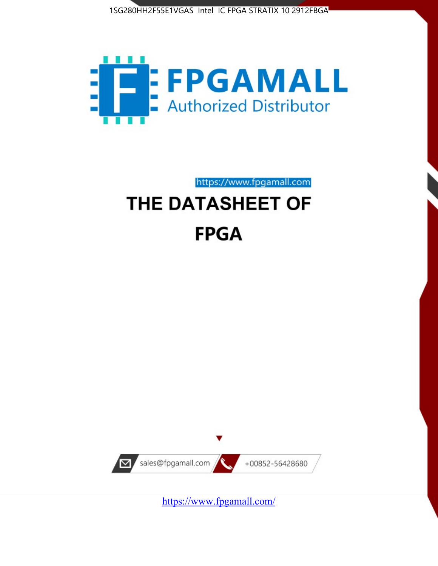1SG280HH2F55E1VGAS Intel IC FPGA STRATIX 10 2912FBGA



https://www.fpgamall.com THE DATASHEET OF

# **FPGA**



<https://www.fpgamall.com/>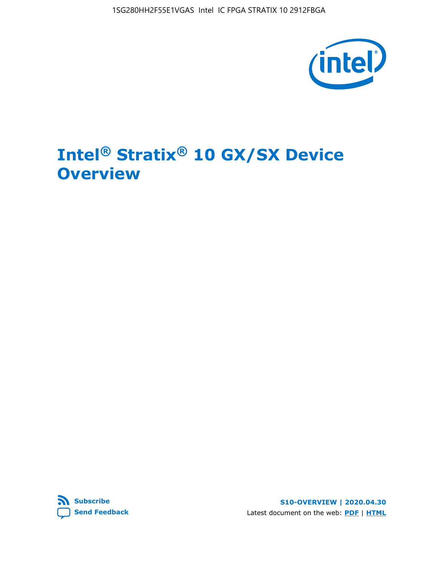

# **Intel® Stratix® 10 GX/SX Device Overview**



**S10-OVERVIEW | 2020.04.30** Latest document on the web: **[PDF](https://www.intel.com/content/dam/www/programmable/us/en/pdfs/literature/hb/stratix-10/s10-overview.pdf)** | **[HTML](https://www.intel.com/content/www/us/en/programmable/documentation/joc1442261161666.html)**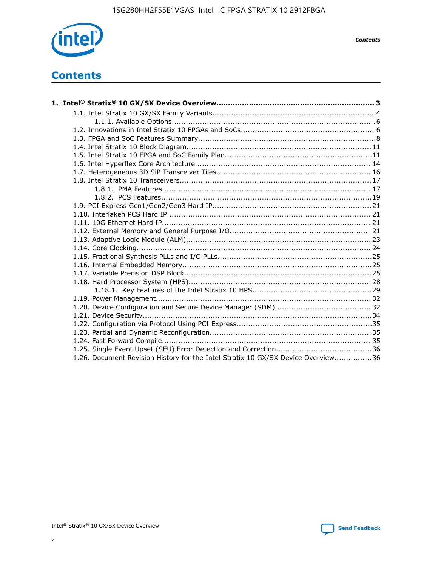

*Contents*

# **Contents**

| 1.26. Document Revision History for the Intel Stratix 10 GX/SX Device Overview36 |  |
|----------------------------------------------------------------------------------|--|

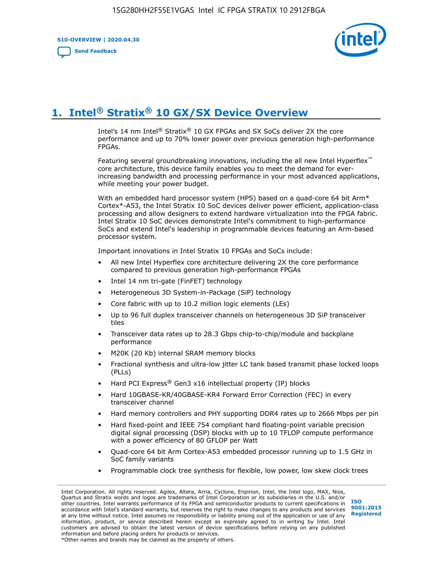**S10-OVERVIEW | 2020.04.30**

**[Send Feedback](mailto:FPGAtechdocfeedback@intel.com?subject=Feedback%20on%20Intel%20Stratix%2010%20GX/SX%20Device%20Overview%20(S10-OVERVIEW%202020.04.30)&body=We%20appreciate%20your%20feedback.%20In%20your%20comments,%20also%20specify%20the%20page%20number%20or%20paragraph.%20Thank%20you.)**



# **1. Intel® Stratix® 10 GX/SX Device Overview**

Intel's 14 nm Intel® Stratix® 10 GX FPGAs and SX SoCs deliver 2X the core performance and up to 70% lower power over previous generation high-performance FPGAs.

Featuring several groundbreaking innovations, including the all new Intel Hyperflex™ core architecture, this device family enables you to meet the demand for everincreasing bandwidth and processing performance in your most advanced applications, while meeting your power budget.

With an embedded hard processor system (HPS) based on a quad-core 64 bit Arm\* Cortex\*-A53, the Intel Stratix 10 SoC devices deliver power efficient, application-class processing and allow designers to extend hardware virtualization into the FPGA fabric. Intel Stratix 10 SoC devices demonstrate Intel's commitment to high-performance SoCs and extend Intel's leadership in programmable devices featuring an Arm-based processor system.

Important innovations in Intel Stratix 10 FPGAs and SoCs include:

- All new Intel Hyperflex core architecture delivering 2X the core performance compared to previous generation high-performance FPGAs
- Intel 14 nm tri-gate (FinFET) technology
- Heterogeneous 3D System-in-Package (SiP) technology
- Core fabric with up to 10.2 million logic elements (LEs)
- Up to 96 full duplex transceiver channels on heterogeneous 3D SiP transceiver tiles
- Transceiver data rates up to 28.3 Gbps chip-to-chip/module and backplane performance
- M20K (20 Kb) internal SRAM memory blocks
- Fractional synthesis and ultra-low jitter LC tank based transmit phase locked loops (PLLs)
- Hard PCI Express<sup>®</sup> Gen3 x16 intellectual property (IP) blocks
- Hard 10GBASE-KR/40GBASE-KR4 Forward Error Correction (FEC) in every transceiver channel
- Hard memory controllers and PHY supporting DDR4 rates up to 2666 Mbps per pin
- Hard fixed-point and IEEE 754 compliant hard floating-point variable precision digital signal processing (DSP) blocks with up to 10 TFLOP compute performance with a power efficiency of 80 GFLOP per Watt
- Quad-core 64 bit Arm Cortex-A53 embedded processor running up to 1.5 GHz in SoC family variants
- Programmable clock tree synthesis for flexible, low power, low skew clock trees

Intel Corporation. All rights reserved. Agilex, Altera, Arria, Cyclone, Enpirion, Intel, the Intel logo, MAX, Nios, Quartus and Stratix words and logos are trademarks of Intel Corporation or its subsidiaries in the U.S. and/or other countries. Intel warrants performance of its FPGA and semiconductor products to current specifications in accordance with Intel's standard warranty, but reserves the right to make changes to any products and services at any time without notice. Intel assumes no responsibility or liability arising out of the application or use of any information, product, or service described herein except as expressly agreed to in writing by Intel. Intel customers are advised to obtain the latest version of device specifications before relying on any published information and before placing orders for products or services. \*Other names and brands may be claimed as the property of others.

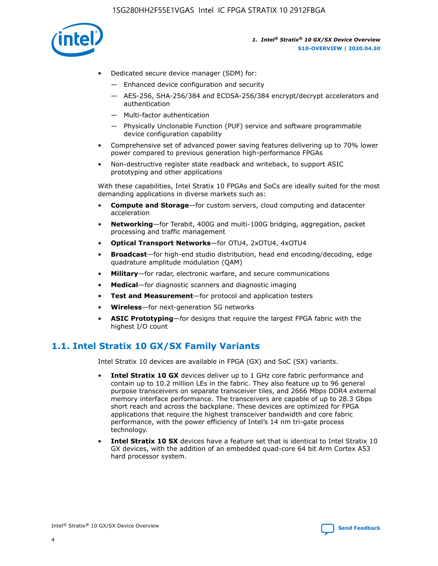

- Dedicated secure device manager (SDM) for:
	- Enhanced device configuration and security
	- AES-256, SHA-256/384 and ECDSA-256/384 encrypt/decrypt accelerators and authentication
	- Multi-factor authentication
	- Physically Unclonable Function (PUF) service and software programmable device configuration capability
- Comprehensive set of advanced power saving features delivering up to 70% lower power compared to previous generation high-performance FPGAs
- Non-destructive register state readback and writeback, to support ASIC prototyping and other applications

With these capabilities, Intel Stratix 10 FPGAs and SoCs are ideally suited for the most demanding applications in diverse markets such as:

- **Compute and Storage**—for custom servers, cloud computing and datacenter acceleration
- **Networking**—for Terabit, 400G and multi-100G bridging, aggregation, packet processing and traffic management
- **Optical Transport Networks**—for OTU4, 2xOTU4, 4xOTU4
- **Broadcast**—for high-end studio distribution, head end encoding/decoding, edge quadrature amplitude modulation (QAM)
- **Military**—for radar, electronic warfare, and secure communications
- **Medical**—for diagnostic scanners and diagnostic imaging
- **Test and Measurement**—for protocol and application testers
- **Wireless**—for next-generation 5G networks
- **ASIC Prototyping**—for designs that require the largest FPGA fabric with the highest I/O count

## **1.1. Intel Stratix 10 GX/SX Family Variants**

Intel Stratix 10 devices are available in FPGA (GX) and SoC (SX) variants.

- **Intel Stratix 10 GX** devices deliver up to 1 GHz core fabric performance and contain up to 10.2 million LEs in the fabric. They also feature up to 96 general purpose transceivers on separate transceiver tiles, and 2666 Mbps DDR4 external memory interface performance. The transceivers are capable of up to 28.3 Gbps short reach and across the backplane. These devices are optimized for FPGA applications that require the highest transceiver bandwidth and core fabric performance, with the power efficiency of Intel's 14 nm tri-gate process technology.
- **Intel Stratix 10 SX** devices have a feature set that is identical to Intel Stratix 10 GX devices, with the addition of an embedded quad-core 64 bit Arm Cortex A53 hard processor system.

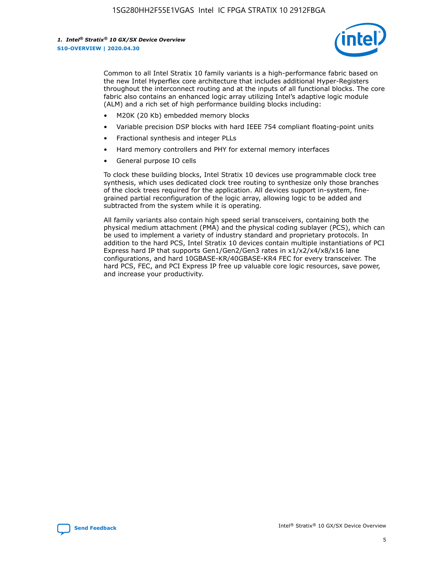

Common to all Intel Stratix 10 family variants is a high-performance fabric based on the new Intel Hyperflex core architecture that includes additional Hyper-Registers throughout the interconnect routing and at the inputs of all functional blocks. The core fabric also contains an enhanced logic array utilizing Intel's adaptive logic module (ALM) and a rich set of high performance building blocks including:

- M20K (20 Kb) embedded memory blocks
- Variable precision DSP blocks with hard IEEE 754 compliant floating-point units
- Fractional synthesis and integer PLLs
- Hard memory controllers and PHY for external memory interfaces
- General purpose IO cells

To clock these building blocks, Intel Stratix 10 devices use programmable clock tree synthesis, which uses dedicated clock tree routing to synthesize only those branches of the clock trees required for the application. All devices support in-system, finegrained partial reconfiguration of the logic array, allowing logic to be added and subtracted from the system while it is operating.

All family variants also contain high speed serial transceivers, containing both the physical medium attachment (PMA) and the physical coding sublayer (PCS), which can be used to implement a variety of industry standard and proprietary protocols. In addition to the hard PCS, Intel Stratix 10 devices contain multiple instantiations of PCI Express hard IP that supports Gen1/Gen2/Gen3 rates in x1/x2/x4/x8/x16 lane configurations, and hard 10GBASE-KR/40GBASE-KR4 FEC for every transceiver. The hard PCS, FEC, and PCI Express IP free up valuable core logic resources, save power, and increase your productivity.

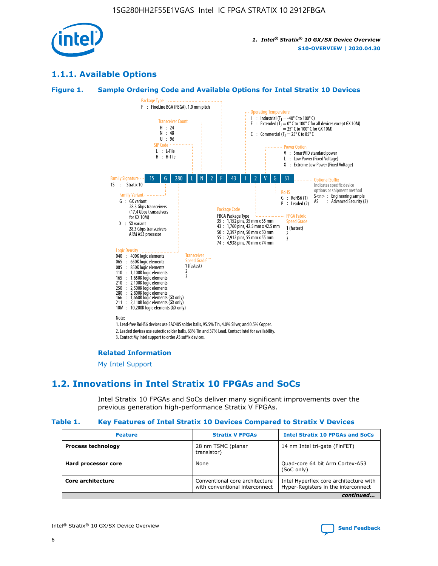

## **1.1.1. Available Options**

#### **Figure 1. Sample Ordering Code and Available Options for Intel Stratix 10 Devices**



3. Contact My Intel support to order AS suffix devices.

#### **Related Information**

[My Intel Support](https://www.intel.com/content/www/us/en/programmable/my-intel/mal-home.html)

## **1.2. Innovations in Intel Stratix 10 FPGAs and SoCs**

Intel Stratix 10 FPGAs and SoCs deliver many significant improvements over the previous generation high-performance Stratix V FPGAs.

#### **Table 1. Key Features of Intel Stratix 10 Devices Compared to Stratix V Devices**

| <b>Feature</b>            | <b>Stratix V FPGAs</b>                                           | <b>Intel Stratix 10 FPGAs and SoCs</b>                                        |  |
|---------------------------|------------------------------------------------------------------|-------------------------------------------------------------------------------|--|
| <b>Process technology</b> | 28 nm TSMC (planar<br>transistor)                                | 14 nm Intel tri-gate (FinFET)                                                 |  |
| Hard processor core       | None                                                             | Quad-core 64 bit Arm Cortex-A53<br>(SoC only)                                 |  |
| Core architecture         | Conventional core architecture<br>with conventional interconnect | Intel Hyperflex core architecture with<br>Hyper-Registers in the interconnect |  |
|                           |                                                                  | continued                                                                     |  |

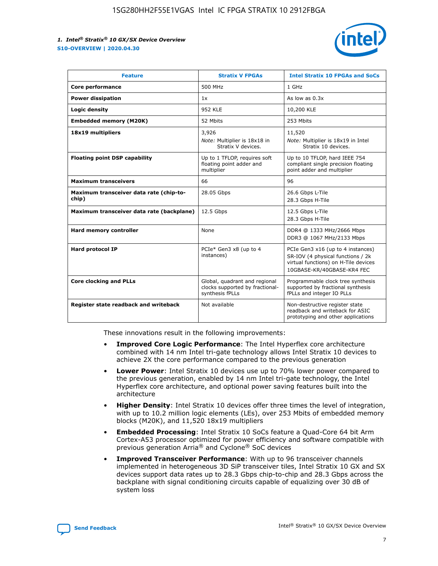

| <b>Feature</b>                                   | <b>Stratix V FPGAs</b>                                                              | <b>Intel Stratix 10 FPGAs and SoCs</b>                                                                                                       |
|--------------------------------------------------|-------------------------------------------------------------------------------------|----------------------------------------------------------------------------------------------------------------------------------------------|
| Core performance                                 | 500 MHz                                                                             | 1 GHz                                                                                                                                        |
| <b>Power dissipation</b>                         | 1x                                                                                  | As low as $0.3x$                                                                                                                             |
| Logic density                                    | <b>952 KLE</b>                                                                      | 10,200 KLE                                                                                                                                   |
| <b>Embedded memory (M20K)</b>                    | 52 Mbits                                                                            | 253 Mbits                                                                                                                                    |
| 18x19 multipliers                                | 3,926                                                                               | 11,520                                                                                                                                       |
|                                                  | Note: Multiplier is 18x18 in<br>Stratix V devices.                                  | Note: Multiplier is 18x19 in Intel<br>Stratix 10 devices.                                                                                    |
| <b>Floating point DSP capability</b>             | Up to 1 TFLOP, requires soft<br>floating point adder and<br>multiplier              | Up to 10 TFLOP, hard IEEE 754<br>compliant single precision floating<br>point adder and multiplier                                           |
| <b>Maximum transceivers</b>                      | 66                                                                                  | 96                                                                                                                                           |
| Maximum transceiver data rate (chip-to-<br>chip) | 28.05 Gbps                                                                          | 26.6 Gbps L-Tile<br>28.3 Gbps H-Tile                                                                                                         |
| Maximum transceiver data rate (backplane)        | 12.5 Gbps                                                                           | 12.5 Gbps L-Tile<br>28.3 Gbps H-Tile                                                                                                         |
| Hard memory controller                           | None                                                                                | DDR4 @ 1333 MHz/2666 Mbps<br>DDR3 @ 1067 MHz/2133 Mbps                                                                                       |
| Hard protocol IP                                 | PCIe* Gen3 x8 (up to 4<br>instances)                                                | PCIe Gen3 x16 (up to 4 instances)<br>SR-IOV (4 physical functions / 2k<br>virtual functions) on H-Tile devices<br>10GBASE-KR/40GBASE-KR4 FEC |
| <b>Core clocking and PLLs</b>                    | Global, quadrant and regional<br>clocks supported by fractional-<br>synthesis fPLLs | Programmable clock tree synthesis<br>supported by fractional synthesis<br>fPLLs and integer IO PLLs                                          |
| Register state readback and writeback            | Not available                                                                       | Non-destructive register state<br>readback and writeback for ASIC<br>prototyping and other applications                                      |

These innovations result in the following improvements:

- **Improved Core Logic Performance**: The Intel Hyperflex core architecture combined with 14 nm Intel tri-gate technology allows Intel Stratix 10 devices to achieve 2X the core performance compared to the previous generation
- **Lower Power**: Intel Stratix 10 devices use up to 70% lower power compared to the previous generation, enabled by 14 nm Intel tri-gate technology, the Intel Hyperflex core architecture, and optional power saving features built into the architecture
- **Higher Density**: Intel Stratix 10 devices offer three times the level of integration, with up to 10.2 million logic elements (LEs), over 253 Mbits of embedded memory blocks (M20K), and 11,520 18x19 multipliers
- **Embedded Processing**: Intel Stratix 10 SoCs feature a Quad-Core 64 bit Arm Cortex-A53 processor optimized for power efficiency and software compatible with previous generation Arria® and Cyclone® SoC devices
- **Improved Transceiver Performance**: With up to 96 transceiver channels implemented in heterogeneous 3D SiP transceiver tiles, Intel Stratix 10 GX and SX devices support data rates up to 28.3 Gbps chip-to-chip and 28.3 Gbps across the backplane with signal conditioning circuits capable of equalizing over 30 dB of system loss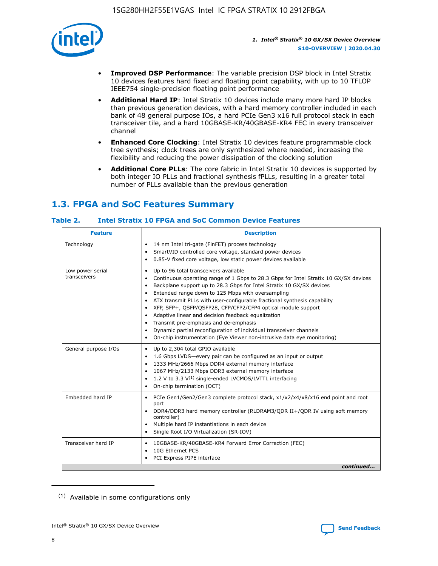

- **Improved DSP Performance**: The variable precision DSP block in Intel Stratix 10 devices features hard fixed and floating point capability, with up to 10 TFLOP IEEE754 single-precision floating point performance
- **Additional Hard IP**: Intel Stratix 10 devices include many more hard IP blocks than previous generation devices, with a hard memory controller included in each bank of 48 general purpose IOs, a hard PCIe Gen3 x16 full protocol stack in each transceiver tile, and a hard 10GBASE-KR/40GBASE-KR4 FEC in every transceiver channel
- **Enhanced Core Clocking**: Intel Stratix 10 devices feature programmable clock tree synthesis; clock trees are only synthesized where needed, increasing the flexibility and reducing the power dissipation of the clocking solution
- **Additional Core PLLs**: The core fabric in Intel Stratix 10 devices is supported by both integer IO PLLs and fractional synthesis fPLLs, resulting in a greater total number of PLLs available than the previous generation

## **1.3. FPGA and SoC Features Summary**

## **Table 2. Intel Stratix 10 FPGA and SoC Common Device Features**

| Technology<br>14 nm Intel tri-gate (FinFET) process technology<br>٠<br>SmartVID controlled core voltage, standard power devices<br>0.85-V fixed core voltage, low static power devices available<br>Up to 96 total transceivers available<br>Low power serial<br>٠<br>transceivers<br>Continuous operating range of 1 Gbps to 28.3 Gbps for Intel Stratix 10 GX/SX devices<br>Backplane support up to 28.3 Gbps for Intel Stratix 10 GX/SX devices<br>$\bullet$<br>Extended range down to 125 Mbps with oversampling<br>$\bullet$<br>• ATX transmit PLLs with user-configurable fractional synthesis capability<br>XFP, SFP+, QSFP/QSFP28, CFP/CFP2/CFP4 optical module support<br>• Adaptive linear and decision feedback equalization<br>Transmit pre-emphasis and de-emphasis<br>Dynamic partial reconfiguration of individual transceiver channels<br>$\bullet$<br>On-chip instrumentation (Eye Viewer non-intrusive data eye monitoring)<br>General purpose I/Os<br>Up to 2,304 total GPIO available<br>$\bullet$<br>1.6 Gbps LVDS-every pair can be configured as an input or output<br>1333 MHz/2666 Mbps DDR4 external memory interface<br>1067 MHz/2133 Mbps DDR3 external memory interface<br>• 1.2 V to 3.3 $V^{(1)}$ single-ended LVCMOS/LVTTL interfacing<br>• On-chip termination (OCT)<br>Embedded hard IP<br>PCIe Gen1/Gen2/Gen3 complete protocol stack, x1/x2/x4/x8/x16 end point and root<br>$\bullet$<br>port<br>DDR4/DDR3 hard memory controller (RLDRAM3/QDR II+/QDR IV using soft memory<br>controller)<br>Multiple hard IP instantiations in each device<br>• Single Root I/O Virtualization (SR-IOV)<br>Transceiver hard IP<br>10GBASE-KR/40GBASE-KR4 Forward Error Correction (FEC)<br>$\bullet$<br>10G Ethernet PCS<br>$\bullet$ | <b>Feature</b> | <b>Description</b> |  |  |  |
|-------------------------------------------------------------------------------------------------------------------------------------------------------------------------------------------------------------------------------------------------------------------------------------------------------------------------------------------------------------------------------------------------------------------------------------------------------------------------------------------------------------------------------------------------------------------------------------------------------------------------------------------------------------------------------------------------------------------------------------------------------------------------------------------------------------------------------------------------------------------------------------------------------------------------------------------------------------------------------------------------------------------------------------------------------------------------------------------------------------------------------------------------------------------------------------------------------------------------------------------------------------------------------------------------------------------------------------------------------------------------------------------------------------------------------------------------------------------------------------------------------------------------------------------------------------------------------------------------------------------------------------------------------------------------------------------------------------------------------------------------------------|----------------|--------------------|--|--|--|
|                                                                                                                                                                                                                                                                                                                                                                                                                                                                                                                                                                                                                                                                                                                                                                                                                                                                                                                                                                                                                                                                                                                                                                                                                                                                                                                                                                                                                                                                                                                                                                                                                                                                                                                                                             |                |                    |  |  |  |
|                                                                                                                                                                                                                                                                                                                                                                                                                                                                                                                                                                                                                                                                                                                                                                                                                                                                                                                                                                                                                                                                                                                                                                                                                                                                                                                                                                                                                                                                                                                                                                                                                                                                                                                                                             |                |                    |  |  |  |
|                                                                                                                                                                                                                                                                                                                                                                                                                                                                                                                                                                                                                                                                                                                                                                                                                                                                                                                                                                                                                                                                                                                                                                                                                                                                                                                                                                                                                                                                                                                                                                                                                                                                                                                                                             |                |                    |  |  |  |
|                                                                                                                                                                                                                                                                                                                                                                                                                                                                                                                                                                                                                                                                                                                                                                                                                                                                                                                                                                                                                                                                                                                                                                                                                                                                                                                                                                                                                                                                                                                                                                                                                                                                                                                                                             |                |                    |  |  |  |
| PCI Express PIPE interface<br>continued                                                                                                                                                                                                                                                                                                                                                                                                                                                                                                                                                                                                                                                                                                                                                                                                                                                                                                                                                                                                                                                                                                                                                                                                                                                                                                                                                                                                                                                                                                                                                                                                                                                                                                                     |                |                    |  |  |  |

<sup>(1)</sup> Available in some configurations only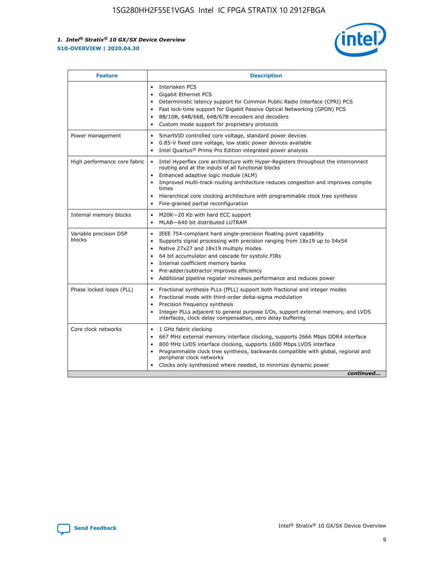

| <b>Feature</b>                   | <b>Description</b>                                                                                                                                                                                                                                                                                                                                                                                                                                                    |  |  |  |
|----------------------------------|-----------------------------------------------------------------------------------------------------------------------------------------------------------------------------------------------------------------------------------------------------------------------------------------------------------------------------------------------------------------------------------------------------------------------------------------------------------------------|--|--|--|
|                                  | Interlaken PCS<br>$\bullet$<br>Gigabit Ethernet PCS<br>$\bullet$<br>Deterministic latency support for Common Public Radio Interface (CPRI) PCS<br>$\bullet$<br>Fast lock-time support for Gigabit Passive Optical Networking (GPON) PCS<br>$\bullet$<br>8B/10B, 64B/66B, 64B/67B encoders and decoders<br>$\bullet$<br>Custom mode support for proprietary protocols<br>$\bullet$                                                                                     |  |  |  |
| Power management                 | SmartVID controlled core voltage, standard power devices<br>$\bullet$<br>0.85-V fixed core voltage, low static power devices available<br>$\bullet$<br>Intel Quartus <sup>®</sup> Prime Pro Edition integrated power analysis<br>$\bullet$                                                                                                                                                                                                                            |  |  |  |
| High performance core fabric     | Intel Hyperflex core architecture with Hyper-Registers throughout the interconnect<br>$\bullet$<br>routing and at the inputs of all functional blocks<br>Enhanced adaptive logic module (ALM)<br>$\bullet$<br>Improved multi-track routing architecture reduces congestion and improves compile<br>times<br>Hierarchical core clocking architecture with programmable clock tree synthesis<br>Fine-grained partial reconfiguration                                    |  |  |  |
| Internal memory blocks           | M20K-20 Kb with hard ECC support<br>٠<br>MLAB-640 bit distributed LUTRAM<br>$\bullet$                                                                                                                                                                                                                                                                                                                                                                                 |  |  |  |
| Variable precision DSP<br>blocks | IEEE 754-compliant hard single-precision floating point capability<br>$\bullet$<br>Supports signal processing with precision ranging from 18x19 up to 54x54<br>$\bullet$<br>Native 27x27 and 18x19 multiply modes<br>$\bullet$<br>64 bit accumulator and cascade for systolic FIRs<br>Internal coefficient memory banks<br>Pre-adder/subtractor improves efficiency<br>$\bullet$<br>Additional pipeline register increases performance and reduces power<br>$\bullet$ |  |  |  |
| Phase locked loops (PLL)         | Fractional synthesis PLLs (fPLL) support both fractional and integer modes<br>$\bullet$<br>Fractional mode with third-order delta-sigma modulation<br>Precision frequency synthesis<br>$\bullet$<br>Integer PLLs adjacent to general purpose I/Os, support external memory, and LVDS<br>$\bullet$<br>interfaces, clock delay compensation, zero delay buffering                                                                                                       |  |  |  |
| Core clock networks              | 1 GHz fabric clocking<br>$\bullet$<br>667 MHz external memory interface clocking, supports 2666 Mbps DDR4 interface<br>$\bullet$<br>800 MHz LVDS interface clocking, supports 1600 Mbps LVDS interface<br>$\bullet$<br>Programmable clock tree synthesis, backwards compatible with global, regional and<br>$\bullet$<br>peripheral clock networks<br>Clocks only synthesized where needed, to minimize dynamic power<br>continued                                    |  |  |  |

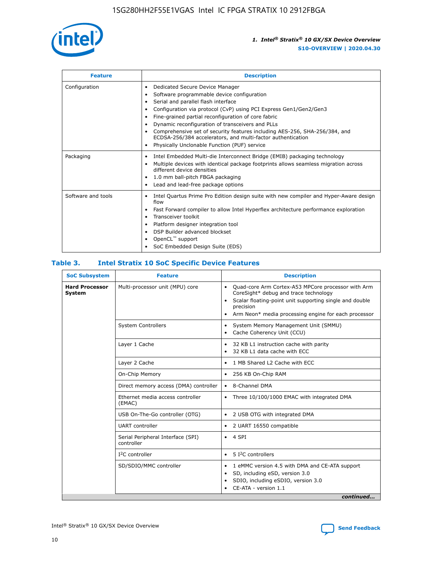

| <b>Feature</b>     | <b>Description</b>                                                                                                                                                                                                                                                                                                                                                                                                                                                                                               |
|--------------------|------------------------------------------------------------------------------------------------------------------------------------------------------------------------------------------------------------------------------------------------------------------------------------------------------------------------------------------------------------------------------------------------------------------------------------------------------------------------------------------------------------------|
| Configuration      | Dedicated Secure Device Manager<br>٠<br>Software programmable device configuration<br>Serial and parallel flash interface<br>Configuration via protocol (CvP) using PCI Express Gen1/Gen2/Gen3<br>Fine-grained partial reconfiguration of core fabric<br>٠<br>Dynamic reconfiguration of transceivers and PLLs<br>٠<br>Comprehensive set of security features including AES-256, SHA-256/384, and<br>ECDSA-256/384 accelerators, and multi-factor authentication<br>Physically Unclonable Function (PUF) service |
| Packaging          | Intel Embedded Multi-die Interconnect Bridge (EMIB) packaging technology<br>٠<br>Multiple devices with identical package footprints allows seamless migration across<br>$\bullet$<br>different device densities<br>1.0 mm ball-pitch FBGA packaging<br>٠<br>Lead and lead-free package options                                                                                                                                                                                                                   |
| Software and tools | Intel Quartus Prime Pro Edition design suite with new compiler and Hyper-Aware design<br>$\bullet$<br>flow<br>Fast Forward compiler to allow Intel Hyperflex architecture performance exploration<br>٠<br>Transceiver toolkit<br>Platform designer integration tool<br>DSP Builder advanced blockset<br>OpenCL <sup>™</sup> support<br>SoC Embedded Design Suite (EDS)                                                                                                                                           |

## **Table 3. Intel Stratix 10 SoC Specific Device Features**

| <b>Hard Processor</b><br>Multi-processor unit (MPU) core<br>Quad-core Arm Cortex-A53 MPCore processor with Arm<br>$\bullet$<br>CoreSight* debug and trace technology<br>System<br>Scalar floating-point unit supporting single and double<br>$\bullet$<br>precision<br>Arm Neon* media processing engine for each processor<br>$\bullet$<br><b>System Controllers</b><br>System Memory Management Unit (SMMU)<br>$\bullet$<br>Cache Coherency Unit (CCU)<br>$\bullet$<br>Layer 1 Cache<br>32 KB L1 instruction cache with parity<br>$\bullet$<br>32 KB L1 data cache with ECC<br>$\bullet$<br>Layer 2 Cache<br>1 MB Shared L2 Cache with ECC<br>$\bullet$<br>On-Chip Memory<br>256 KB On-Chip RAM<br>٠<br>Direct memory access (DMA) controller<br>8-Channel DMA<br>$\bullet$<br>Ethernet media access controller<br>Three 10/100/1000 EMAC with integrated DMA<br>$\bullet$<br>(EMAC)<br>USB On-The-Go controller (OTG)<br>2 USB OTG with integrated DMA<br>$\bullet$<br><b>UART</b> controller<br>2 UART 16550 compatible<br>$\bullet$<br>Serial Peripheral Interface (SPI)<br>4 SPI<br>$\bullet$<br>controller<br>$I2C$ controller<br>5 I <sup>2</sup> C controllers<br>$\bullet$<br>SD/SDIO/MMC controller<br>1 eMMC version 4.5 with DMA and CE-ATA support<br>$\bullet$<br>SD, including eSD, version 3.0<br>$\bullet$<br>SDIO, including eSDIO, version 3.0<br>$\bullet$<br>CE-ATA - version 1.1 | <b>SoC Subsystem</b> | <b>Feature</b> | <b>Description</b> |  |  |
|---------------------------------------------------------------------------------------------------------------------------------------------------------------------------------------------------------------------------------------------------------------------------------------------------------------------------------------------------------------------------------------------------------------------------------------------------------------------------------------------------------------------------------------------------------------------------------------------------------------------------------------------------------------------------------------------------------------------------------------------------------------------------------------------------------------------------------------------------------------------------------------------------------------------------------------------------------------------------------------------------------------------------------------------------------------------------------------------------------------------------------------------------------------------------------------------------------------------------------------------------------------------------------------------------------------------------------------------------------------------------------------------------------|----------------------|----------------|--------------------|--|--|
|                                                                                                                                                                                                                                                                                                                                                                                                                                                                                                                                                                                                                                                                                                                                                                                                                                                                                                                                                                                                                                                                                                                                                                                                                                                                                                                                                                                                         |                      |                |                    |  |  |
|                                                                                                                                                                                                                                                                                                                                                                                                                                                                                                                                                                                                                                                                                                                                                                                                                                                                                                                                                                                                                                                                                                                                                                                                                                                                                                                                                                                                         |                      |                |                    |  |  |
|                                                                                                                                                                                                                                                                                                                                                                                                                                                                                                                                                                                                                                                                                                                                                                                                                                                                                                                                                                                                                                                                                                                                                                                                                                                                                                                                                                                                         |                      |                |                    |  |  |
|                                                                                                                                                                                                                                                                                                                                                                                                                                                                                                                                                                                                                                                                                                                                                                                                                                                                                                                                                                                                                                                                                                                                                                                                                                                                                                                                                                                                         |                      |                |                    |  |  |
|                                                                                                                                                                                                                                                                                                                                                                                                                                                                                                                                                                                                                                                                                                                                                                                                                                                                                                                                                                                                                                                                                                                                                                                                                                                                                                                                                                                                         |                      |                |                    |  |  |
|                                                                                                                                                                                                                                                                                                                                                                                                                                                                                                                                                                                                                                                                                                                                                                                                                                                                                                                                                                                                                                                                                                                                                                                                                                                                                                                                                                                                         |                      |                |                    |  |  |
|                                                                                                                                                                                                                                                                                                                                                                                                                                                                                                                                                                                                                                                                                                                                                                                                                                                                                                                                                                                                                                                                                                                                                                                                                                                                                                                                                                                                         |                      |                |                    |  |  |
|                                                                                                                                                                                                                                                                                                                                                                                                                                                                                                                                                                                                                                                                                                                                                                                                                                                                                                                                                                                                                                                                                                                                                                                                                                                                                                                                                                                                         |                      |                |                    |  |  |
|                                                                                                                                                                                                                                                                                                                                                                                                                                                                                                                                                                                                                                                                                                                                                                                                                                                                                                                                                                                                                                                                                                                                                                                                                                                                                                                                                                                                         |                      |                |                    |  |  |
|                                                                                                                                                                                                                                                                                                                                                                                                                                                                                                                                                                                                                                                                                                                                                                                                                                                                                                                                                                                                                                                                                                                                                                                                                                                                                                                                                                                                         |                      |                |                    |  |  |
|                                                                                                                                                                                                                                                                                                                                                                                                                                                                                                                                                                                                                                                                                                                                                                                                                                                                                                                                                                                                                                                                                                                                                                                                                                                                                                                                                                                                         |                      |                |                    |  |  |
| continued                                                                                                                                                                                                                                                                                                                                                                                                                                                                                                                                                                                                                                                                                                                                                                                                                                                                                                                                                                                                                                                                                                                                                                                                                                                                                                                                                                                               |                      |                |                    |  |  |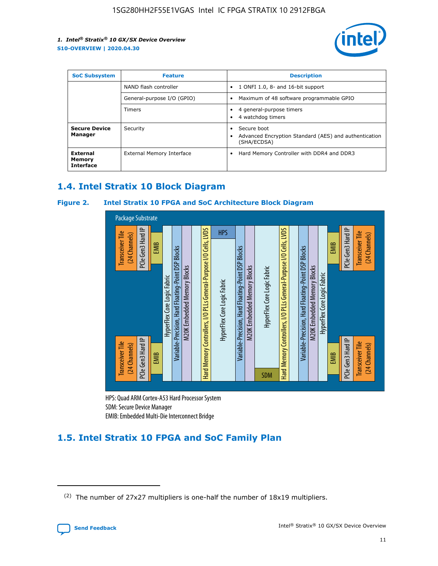

| <b>SoC Subsystem</b>                   | <b>Feature</b>             | <b>Description</b>                                                                            |  |  |
|----------------------------------------|----------------------------|-----------------------------------------------------------------------------------------------|--|--|
|                                        | NAND flash controller      | 1 ONFI 1.0, 8- and 16-bit support<br>$\bullet$                                                |  |  |
|                                        | General-purpose I/O (GPIO) | Maximum of 48 software programmable GPIO<br>$\bullet$                                         |  |  |
|                                        | <b>Timers</b>              | 4 general-purpose timers<br>٠<br>4 watchdog timers                                            |  |  |
| <b>Secure Device</b><br>Manager        | Security                   | Secure boot<br>٠<br>Advanced Encryption Standard (AES) and authentication<br>٠<br>(SHA/ECDSA) |  |  |
| External<br>Memory<br><b>Interface</b> | External Memory Interface  | Hard Memory Controller with DDR4 and DDR3<br>$\bullet$                                        |  |  |

## **1.4. Intel Stratix 10 Block Diagram**

## **Figure 2. Intel Stratix 10 FPGA and SoC Architecture Block Diagram**



HPS: Quad ARM Cortex-A53 Hard Processor System SDM: Secure Device Manager

## **1.5. Intel Stratix 10 FPGA and SoC Family Plan**

<sup>(2)</sup> The number of 27x27 multipliers is one-half the number of 18x19 multipliers.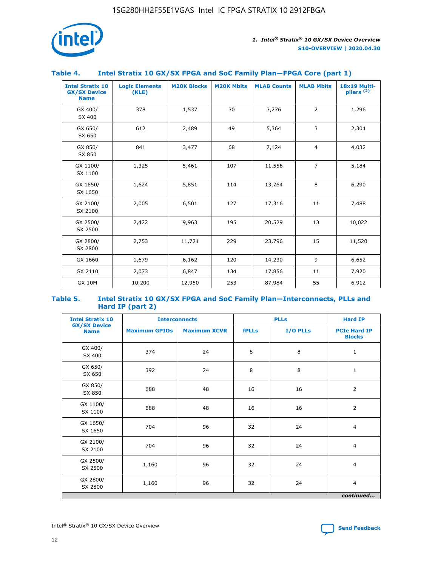

## **Table 4. Intel Stratix 10 GX/SX FPGA and SoC Family Plan—FPGA Core (part 1)**

| <b>Intel Stratix 10</b><br><b>GX/SX Device</b><br><b>Name</b> | <b>Logic Elements</b><br>(KLE) | <b>M20K Blocks</b> | <b>M20K Mbits</b> | <b>MLAB Counts</b> | <b>MLAB Mbits</b> | 18x19 Multi-<br>pliers <sup>(2)</sup> |
|---------------------------------------------------------------|--------------------------------|--------------------|-------------------|--------------------|-------------------|---------------------------------------|
| GX 400/<br>SX 400                                             | 378                            | 1,537              | 30                | 3,276              | $\overline{2}$    | 1,296                                 |
| GX 650/<br>SX 650                                             | 612                            | 2,489              | 49                | 5,364              | 3                 | 2,304                                 |
| GX 850/<br>SX 850                                             | 841                            | 3,477              | 68                | 7,124              | $\overline{4}$    | 4,032                                 |
| GX 1100/<br>SX 1100                                           | 1,325                          | 5,461              | 107               | 11,556             | $\overline{7}$    | 5,184                                 |
| GX 1650/<br>SX 1650                                           | 1,624                          | 5,851              | 114               | 13,764             | 8                 | 6,290                                 |
| GX 2100/<br>SX 2100                                           | 2,005                          | 6,501              | 127               | 17,316             | 11                | 7,488                                 |
| GX 2500/<br>SX 2500                                           | 2,422                          | 9,963              | 195               | 20,529             | 13                | 10,022                                |
| GX 2800/<br>SX 2800                                           | 2,753                          | 11,721             | 229               | 23,796             | 15                | 11,520                                |
| GX 1660                                                       | 1,679                          | 6,162              | 120               | 14,230             | 9                 | 6,652                                 |
| GX 2110                                                       | 2,073                          | 6,847              | 134               | 17,856             | 11                | 7,920                                 |
| <b>GX 10M</b>                                                 | 10,200                         | 12,950             | 253               | 87,984             | 55                | 6,912                                 |

#### **Table 5. Intel Stratix 10 GX/SX FPGA and SoC Family Plan—Interconnects, PLLs and Hard IP (part 2)**

| <b>Intel Stratix 10</b>            | <b>Interconnects</b> |                     | <b>PLLs</b>  |          | <b>Hard IP</b>                       |
|------------------------------------|----------------------|---------------------|--------------|----------|--------------------------------------|
| <b>GX/SX Device</b><br><b>Name</b> | <b>Maximum GPIOs</b> | <b>Maximum XCVR</b> | <b>fPLLs</b> | I/O PLLs | <b>PCIe Hard IP</b><br><b>Blocks</b> |
| GX 400/<br>SX 400                  | 374                  | 24                  | 8            | 8        | $\mathbf{1}$                         |
| GX 650/<br>SX 650                  | 392                  | 24                  | 8            | 8        | $\mathbf{1}$                         |
| GX 850/<br>SX 850                  | 688                  | 48                  | 16           | 16       | 2                                    |
| GX 1100/<br>SX 1100                | 688                  | 48                  | 16           | 16       | 2                                    |
| GX 1650/<br>SX 1650                | 704                  | 96                  | 32           | 24       | $\overline{4}$                       |
| GX 2100/<br>SX 2100                | 704                  | 96                  | 32           | 24       | 4                                    |
| GX 2500/<br>SX 2500                | 1,160                | 96                  | 32           | 24       | $\overline{4}$                       |
| GX 2800/<br>SX 2800                | 1,160                | 96                  | 32           | 24       | $\overline{4}$                       |
| continued                          |                      |                     |              |          |                                      |

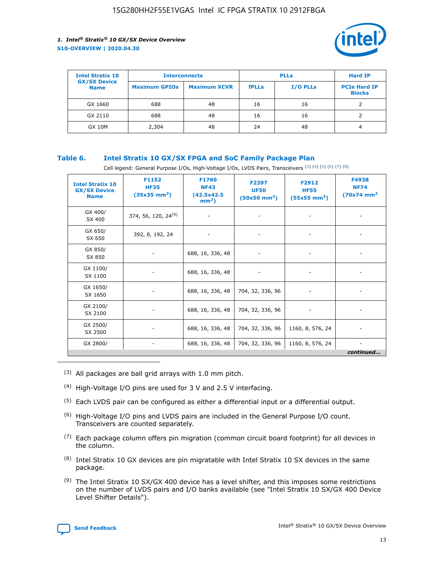

| <b>Intel Stratix 10</b>            | <b>Interconnects</b> |                     | <b>PLLs</b>  |                 | <b>Hard IP</b>                       |
|------------------------------------|----------------------|---------------------|--------------|-----------------|--------------------------------------|
| <b>GX/SX Device</b><br><b>Name</b> | <b>Maximum GPIOs</b> | <b>Maximum XCVR</b> | <b>fPLLs</b> | <b>I/O PLLs</b> | <b>PCIe Hard IP</b><br><b>Blocks</b> |
| GX 1660                            | 688                  | 48                  | 16           | 16              |                                      |
| GX 2110                            | 688                  | 48                  | 16           | 16              |                                      |
| <b>GX 10M</b>                      | 2,304                | 48                  | 24           | 48              | 4                                    |

## **Table 6. Intel Stratix 10 GX/SX FPGA and SoC Family Package Plan**

Cell legend: General Purpose I/Os, High-Voltage I/Os, LVDS Pairs, Transceivers (3) (4) (5) (6) (7) (8)

| <b>Intel Stratix 10</b><br><b>GX/SX Device</b><br><b>Name</b> | F1152<br><b>HF35</b><br>$(35x35 \text{ mm}^2)$ | F1760<br><b>NF43</b><br>(42.5x42.5<br>$mm2$ ) | F2397<br><b>UF50</b><br>$(50x50 \text{ mm}^2)$ | F2912<br><b>HF55</b><br>$(55x55$ mm <sup>2</sup> ) | F4938<br><b>NF74</b><br>$(70x74)$ mm <sup>2</sup> |
|---------------------------------------------------------------|------------------------------------------------|-----------------------------------------------|------------------------------------------------|----------------------------------------------------|---------------------------------------------------|
| GX 400/<br>SX 400                                             | 374, 56, 120, 24 <sup>(9)</sup>                | $\overline{\phantom{a}}$                      | $\overline{\phantom{a}}$                       | ۰                                                  |                                                   |
| GX 650/<br>SX 650                                             | 392, 8, 192, 24                                | $\overline{\phantom{a}}$                      | $\overline{\phantom{a}}$                       |                                                    |                                                   |
| GX 850/<br>SX 850                                             | ۰.                                             | 688, 16, 336, 48                              |                                                |                                                    |                                                   |
| GX 1100/<br>SX 1100                                           |                                                | 688, 16, 336, 48                              |                                                |                                                    |                                                   |
| GX 1650/<br>SX 1650                                           |                                                | 688, 16, 336, 48                              | 704, 32, 336, 96                               |                                                    |                                                   |
| GX 2100/<br>SX 2100                                           | -                                              | 688, 16, 336, 48                              | 704, 32, 336, 96                               | $\overline{\phantom{a}}$                           |                                                   |
| GX 2500/<br>SX 2500                                           |                                                | 688, 16, 336, 48                              | 704, 32, 336, 96                               | 1160, 8, 576, 24                                   |                                                   |
| GX 2800/                                                      | -                                              | 688, 16, 336, 48                              | 704, 32, 336, 96                               | 1160, 8, 576, 24                                   | $\overline{\phantom{a}}$<br>continued             |

- (3) All packages are ball grid arrays with 1.0 mm pitch.
- (4) High-Voltage I/O pins are used for 3 V and 2.5 V interfacing.
- $(5)$  Each LVDS pair can be configured as either a differential input or a differential output.
- (6) High-Voltage I/O pins and LVDS pairs are included in the General Purpose I/O count. Transceivers are counted separately.
- $(7)$  Each package column offers pin migration (common circuit board footprint) for all devices in the column.
- $(8)$  Intel Stratix 10 GX devices are pin migratable with Intel Stratix 10 SX devices in the same package.
- $(9)$  The Intel Stratix 10 SX/GX 400 device has a level shifter, and this imposes some restrictions on the number of LVDS pairs and I/O banks available (see "Intel Stratix 10 SX/GX 400 Device Level Shifter Details").

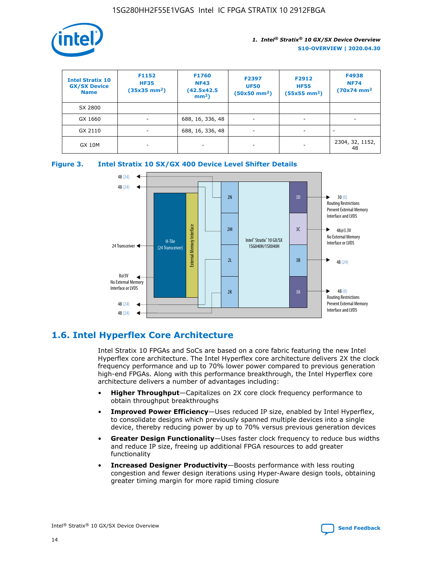

| <b>Intel Stratix 10</b><br><b>GX/SX Device</b><br><b>Name</b> | F1152<br><b>HF35</b><br>$(35x35)$ mm <sup>2</sup> ) | F1760<br><b>NF43</b><br>(42.5x42.5<br>$mm2$ ) | F2397<br><b>UF50</b><br>$(50x50 \text{ mm}^2)$ | F2912<br><b>HF55</b><br>$(55x55$ mm <sup>2</sup> ) | F4938<br><b>NF74</b><br>$(70x74)$ mm <sup>2</sup> |
|---------------------------------------------------------------|-----------------------------------------------------|-----------------------------------------------|------------------------------------------------|----------------------------------------------------|---------------------------------------------------|
| SX 2800                                                       |                                                     |                                               |                                                |                                                    |                                                   |
| GX 1660                                                       | -                                                   | 688, 16, 336, 48                              | $\overline{\phantom{a}}$                       |                                                    |                                                   |
| GX 2110                                                       |                                                     | 688, 16, 336, 48                              | $\overline{\phantom{a}}$                       |                                                    |                                                   |
| <b>GX 10M</b>                                                 | ۰                                                   |                                               |                                                |                                                    | 2304, 32, 1152,<br>48                             |





## **1.6. Intel Hyperflex Core Architecture**

Intel Stratix 10 FPGAs and SoCs are based on a core fabric featuring the new Intel Hyperflex core architecture. The Intel Hyperflex core architecture delivers 2X the clock frequency performance and up to 70% lower power compared to previous generation high-end FPGAs. Along with this performance breakthrough, the Intel Hyperflex core architecture delivers a number of advantages including:

- **Higher Throughput**—Capitalizes on 2X core clock frequency performance to obtain throughput breakthroughs
- **Improved Power Efficiency**—Uses reduced IP size, enabled by Intel Hyperflex, to consolidate designs which previously spanned multiple devices into a single device, thereby reducing power by up to 70% versus previous generation devices
- **Greater Design Functionality**—Uses faster clock frequency to reduce bus widths and reduce IP size, freeing up additional FPGA resources to add greater functionality
- **Increased Designer Productivity**—Boosts performance with less routing congestion and fewer design iterations using Hyper-Aware design tools, obtaining greater timing margin for more rapid timing closure

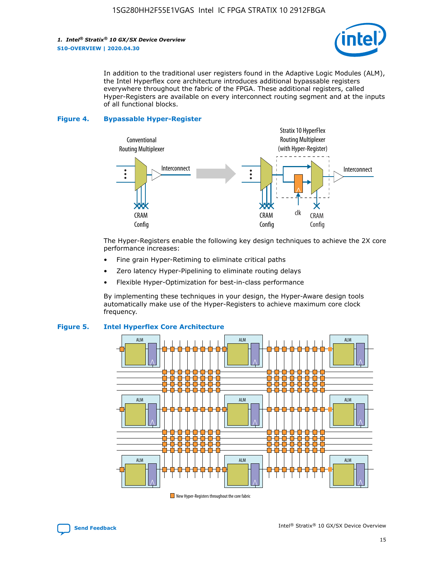

In addition to the traditional user registers found in the Adaptive Logic Modules (ALM), the Intel Hyperflex core architecture introduces additional bypassable registers everywhere throughout the fabric of the FPGA. These additional registers, called Hyper-Registers are available on every interconnect routing segment and at the inputs of all functional blocks.

#### **Figure 4. Bypassable Hyper-Register**



The Hyper-Registers enable the following key design techniques to achieve the 2X core performance increases:

- Fine grain Hyper-Retiming to eliminate critical paths
- Zero latency Hyper-Pipelining to eliminate routing delays
- Flexible Hyper-Optimization for best-in-class performance

By implementing these techniques in your design, the Hyper-Aware design tools automatically make use of the Hyper-Registers to achieve maximum core clock frequency.



## **Figure 5. Intel Hyperflex Core Architecture**

New Hyper-Registers throughout the core fabric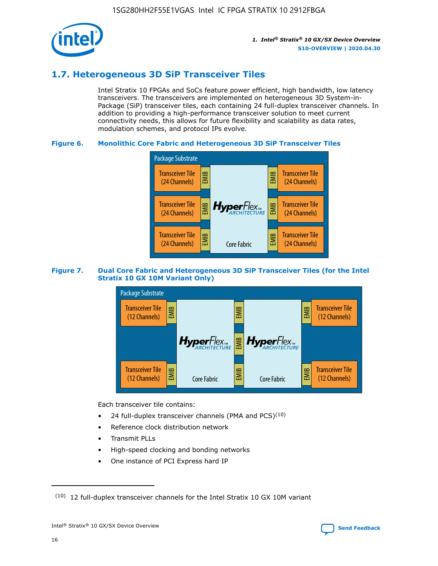

## **1.7. Heterogeneous 3D SiP Transceiver Tiles**

Intel Stratix 10 FPGAs and SoCs feature power efficient, high bandwidth, low latency transceivers. The transceivers are implemented on heterogeneous 3D System-in-Package (SiP) transceiver tiles, each containing 24 full-duplex transceiver channels. In addition to providing a high-performance transceiver solution to meet current connectivity needs, this allows for future flexibility and scalability as data rates, modulation schemes, and protocol IPs evolve.

## **Figure 6. Monolithic Core Fabric and Heterogeneous 3D SiP Transceiver Tiles**



## **Figure 7. Dual Core Fabric and Heterogeneous 3D SiP Transceiver Tiles (for the Intel Stratix 10 GX 10M Variant Only)**



Each transceiver tile contains:

- 24 full-duplex transceiver channels (PMA and PCS) $(10)$
- Reference clock distribution network
- Transmit PLLs
- High-speed clocking and bonding networks
- One instance of PCI Express hard IP

 $(10)$  12 full-duplex transceiver channels for the Intel Stratix 10 GX 10M variant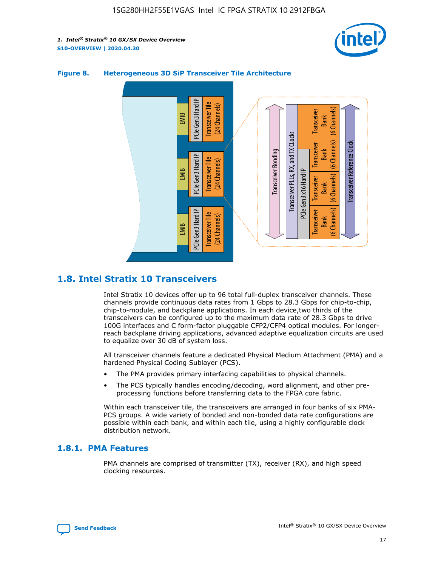



## **Figure 8. Heterogeneous 3D SiP Transceiver Tile Architecture**

## **1.8. Intel Stratix 10 Transceivers**

Intel Stratix 10 devices offer up to 96 total full-duplex transceiver channels. These channels provide continuous data rates from 1 Gbps to 28.3 Gbps for chip-to-chip, chip-to-module, and backplane applications. In each device,two thirds of the transceivers can be configured up to the maximum data rate of 28.3 Gbps to drive 100G interfaces and C form-factor pluggable CFP2/CFP4 optical modules. For longerreach backplane driving applications, advanced adaptive equalization circuits are used to equalize over 30 dB of system loss.

All transceiver channels feature a dedicated Physical Medium Attachment (PMA) and a hardened Physical Coding Sublayer (PCS).

- The PMA provides primary interfacing capabilities to physical channels.
- The PCS typically handles encoding/decoding, word alignment, and other preprocessing functions before transferring data to the FPGA core fabric.

Within each transceiver tile, the transceivers are arranged in four banks of six PMA-PCS groups. A wide variety of bonded and non-bonded data rate configurations are possible within each bank, and within each tile, using a highly configurable clock distribution network.

## **1.8.1. PMA Features**

PMA channels are comprised of transmitter (TX), receiver (RX), and high speed clocking resources.

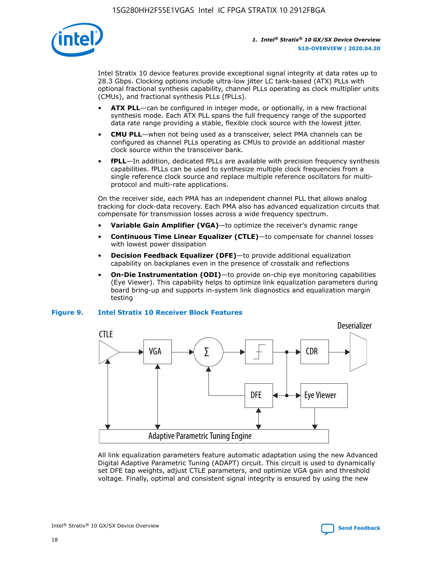

Intel Stratix 10 device features provide exceptional signal integrity at data rates up to 28.3 Gbps. Clocking options include ultra-low jitter LC tank-based (ATX) PLLs with optional fractional synthesis capability, channel PLLs operating as clock multiplier units (CMUs), and fractional synthesis PLLs (fPLLs).

- **ATX PLL**—can be configured in integer mode, or optionally, in a new fractional synthesis mode. Each ATX PLL spans the full frequency range of the supported data rate range providing a stable, flexible clock source with the lowest jitter.
- **CMU PLL**—when not being used as a transceiver, select PMA channels can be configured as channel PLLs operating as CMUs to provide an additional master clock source within the transceiver bank.
- **fPLL**—In addition, dedicated fPLLs are available with precision frequency synthesis capabilities. fPLLs can be used to synthesize multiple clock frequencies from a single reference clock source and replace multiple reference oscillators for multiprotocol and multi-rate applications.

On the receiver side, each PMA has an independent channel PLL that allows analog tracking for clock-data recovery. Each PMA also has advanced equalization circuits that compensate for transmission losses across a wide frequency spectrum.

- **Variable Gain Amplifier (VGA)**—to optimize the receiver's dynamic range
- **Continuous Time Linear Equalizer (CTLE)**—to compensate for channel losses with lowest power dissipation
- **Decision Feedback Equalizer (DFE)**—to provide additional equalization capability on backplanes even in the presence of crosstalk and reflections
- **On-Die Instrumentation (ODI)**—to provide on-chip eye monitoring capabilities (Eye Viewer). This capability helps to optimize link equalization parameters during board bring-up and supports in-system link diagnostics and equalization margin testing

#### **Figure 9. Intel Stratix 10 Receiver Block Features**



All link equalization parameters feature automatic adaptation using the new Advanced Digital Adaptive Parametric Tuning (ADAPT) circuit. This circuit is used to dynamically set DFE tap weights, adjust CTLE parameters, and optimize VGA gain and threshold voltage. Finally, optimal and consistent signal integrity is ensured by using the new

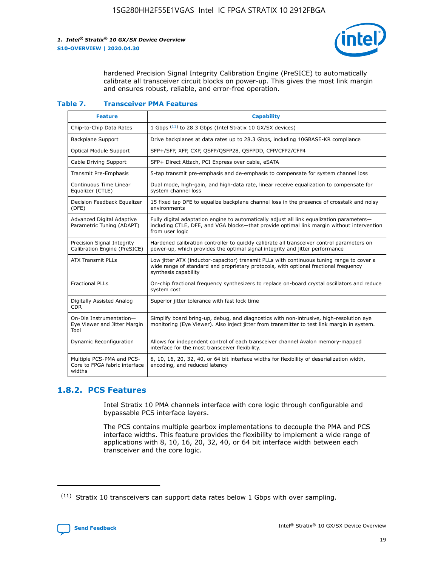

hardened Precision Signal Integrity Calibration Engine (PreSICE) to automatically calibrate all transceiver circuit blocks on power-up. This gives the most link margin and ensures robust, reliable, and error-free operation.

#### **Table 7. Transceiver PMA Features**

| <b>Feature</b>                                                       | <b>Capability</b>                                                                                                                                                                                         |
|----------------------------------------------------------------------|-----------------------------------------------------------------------------------------------------------------------------------------------------------------------------------------------------------|
| Chip-to-Chip Data Rates                                              | 1 Gbps (11) to 28.3 Gbps (Intel Stratix 10 GX/SX devices)                                                                                                                                                 |
| <b>Backplane Support</b>                                             | Drive backplanes at data rates up to 28.3 Gbps, including 10GBASE-KR compliance                                                                                                                           |
| Optical Module Support                                               | SFP+/SFP, XFP, CXP, QSFP/QSFP28, QSFPDD, CFP/CFP2/CFP4                                                                                                                                                    |
| Cable Driving Support                                                | SFP+ Direct Attach, PCI Express over cable, eSATA                                                                                                                                                         |
| <b>Transmit Pre-Emphasis</b>                                         | 5-tap transmit pre-emphasis and de-emphasis to compensate for system channel loss                                                                                                                         |
| Continuous Time Linear<br>Equalizer (CTLE)                           | Dual mode, high-gain, and high-data rate, linear receive equalization to compensate for<br>system channel loss                                                                                            |
| Decision Feedback Equalizer<br>(DFE)                                 | 15 fixed tap DFE to equalize backplane channel loss in the presence of crosstalk and noisy<br>environments                                                                                                |
| Advanced Digital Adaptive<br>Parametric Tuning (ADAPT)               | Fully digital adaptation engine to automatically adjust all link equalization parameters-<br>including CTLE, DFE, and VGA blocks-that provide optimal link margin without intervention<br>from user logic |
| Precision Signal Integrity<br>Calibration Engine (PreSICE)           | Hardened calibration controller to quickly calibrate all transceiver control parameters on<br>power-up, which provides the optimal signal integrity and jitter performance                                |
| <b>ATX Transmit PLLs</b>                                             | Low jitter ATX (inductor-capacitor) transmit PLLs with continuous tuning range to cover a<br>wide range of standard and proprietary protocols, with optional fractional frequency<br>synthesis capability |
| <b>Fractional PLLs</b>                                               | On-chip fractional frequency synthesizers to replace on-board crystal oscillators and reduce<br>system cost                                                                                               |
| Digitally Assisted Analog<br>CDR.                                    | Superior jitter tolerance with fast lock time                                                                                                                                                             |
| On-Die Instrumentation-<br>Eye Viewer and Jitter Margin<br>Tool      | Simplify board bring-up, debug, and diagnostics with non-intrusive, high-resolution eye<br>monitoring (Eye Viewer). Also inject jitter from transmitter to test link margin in system.                    |
| Dynamic Reconfiguration                                              | Allows for independent control of each transceiver channel Avalon memory-mapped<br>interface for the most transceiver flexibility.                                                                        |
| Multiple PCS-PMA and PCS-<br>Core to FPGA fabric interface<br>widths | 8, 10, 16, 20, 32, 40, or 64 bit interface widths for flexibility of deserialization width,<br>encoding, and reduced latency                                                                              |

## **1.8.2. PCS Features**

Intel Stratix 10 PMA channels interface with core logic through configurable and bypassable PCS interface layers.

The PCS contains multiple gearbox implementations to decouple the PMA and PCS interface widths. This feature provides the flexibility to implement a wide range of applications with 8, 10, 16, 20, 32, 40, or 64 bit interface width between each transceiver and the core logic.

 $(11)$  Stratix 10 transceivers can support data rates below 1 Gbps with over sampling.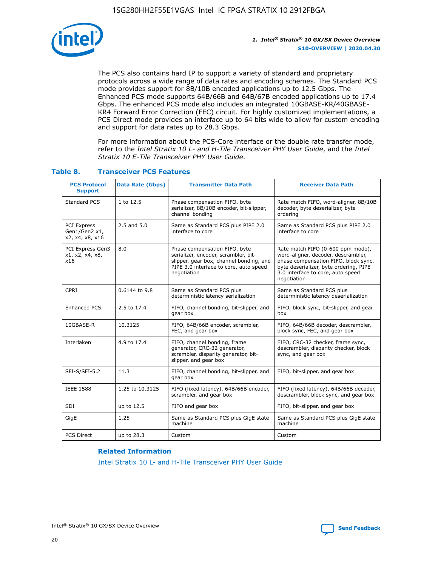

The PCS also contains hard IP to support a variety of standard and proprietary protocols across a wide range of data rates and encoding schemes. The Standard PCS mode provides support for 8B/10B encoded applications up to 12.5 Gbps. The Enhanced PCS mode supports 64B/66B and 64B/67B encoded applications up to 17.4 Gbps. The enhanced PCS mode also includes an integrated 10GBASE-KR/40GBASE-KR4 Forward Error Correction (FEC) circuit. For highly customized implementations, a PCS Direct mode provides an interface up to 64 bits wide to allow for custom encoding and support for data rates up to 28.3 Gbps.

For more information about the PCS-Core interface or the double rate transfer mode, refer to the *Intel Stratix 10 L- and H-Tile Transceiver PHY User Guide*, and the *Intel Stratix 10 E-Tile Transceiver PHY User Guide*.

| <b>PCS Protocol</b><br><b>Support</b>           | <b>Data Rate (Gbps)</b> | <b>Transmitter Data Path</b>                                                                                                                                              | <b>Receiver Data Path</b>                                                                                                                                                                                      |
|-------------------------------------------------|-------------------------|---------------------------------------------------------------------------------------------------------------------------------------------------------------------------|----------------------------------------------------------------------------------------------------------------------------------------------------------------------------------------------------------------|
| Standard PCS                                    | 1 to 12.5               | Phase compensation FIFO, byte<br>serializer, 8B/10B encoder, bit-slipper,<br>channel bonding                                                                              | Rate match FIFO, word-aligner, 8B/10B<br>decoder, byte deserializer, byte<br>ordering                                                                                                                          |
| PCI Express<br>Gen1/Gen2 x1,<br>x2, x4, x8, x16 | $2.5$ and $5.0$         | Same as Standard PCS plus PIPE 2.0<br>interface to core                                                                                                                   | Same as Standard PCS plus PIPE 2.0<br>interface to core                                                                                                                                                        |
| PCI Express Gen3<br>x1, x2, x4, x8,<br>x16      | 8.0                     | Phase compensation FIFO, byte<br>serializer, encoder, scrambler, bit-<br>slipper, gear box, channel bonding, and<br>PIPE 3.0 interface to core, auto speed<br>negotiation | Rate match FIFO (0-600 ppm mode),<br>word-aligner, decoder, descrambler,<br>phase compensation FIFO, block sync,<br>byte deserializer, byte ordering, PIPE<br>3.0 interface to core, auto speed<br>negotiation |
| CPRI                                            | 0.6144 to 9.8           | Same as Standard PCS plus<br>deterministic latency serialization                                                                                                          | Same as Standard PCS plus<br>deterministic latency deserialization                                                                                                                                             |
| <b>Enhanced PCS</b>                             | 2.5 to 17.4             | FIFO, channel bonding, bit-slipper, and<br>gear box                                                                                                                       | FIFO, block sync, bit-slipper, and gear<br>box                                                                                                                                                                 |
| 10GBASE-R                                       | 10.3125                 | FIFO, 64B/66B encoder, scrambler,<br>FEC, and gear box                                                                                                                    | FIFO, 64B/66B decoder, descrambler,<br>block sync, FEC, and gear box                                                                                                                                           |
| Interlaken                                      | 4.9 to 17.4             | FIFO, channel bonding, frame<br>generator, CRC-32 generator,<br>scrambler, disparity generator, bit-<br>slipper, and gear box                                             | FIFO, CRC-32 checker, frame sync,<br>descrambler, disparity checker, block<br>sync, and gear box                                                                                                               |
| SFI-S/SFI-5.2                                   | 11.3                    | FIFO, channel bonding, bit-slipper, and<br>gear box                                                                                                                       | FIFO, bit-slipper, and gear box                                                                                                                                                                                |
| <b>IEEE 1588</b>                                | 1.25 to 10.3125         | FIFO (fixed latency), 64B/66B encoder,<br>scrambler, and gear box                                                                                                         | FIFO (fixed latency), 64B/66B decoder,<br>descrambler, block sync, and gear box                                                                                                                                |
| SDI                                             | up to 12.5              | FIFO and gear box                                                                                                                                                         | FIFO, bit-slipper, and gear box                                                                                                                                                                                |
| GigE                                            | 1.25                    | Same as Standard PCS plus GigE state<br>machine                                                                                                                           | Same as Standard PCS plus GigE state<br>machine                                                                                                                                                                |
| <b>PCS Direct</b>                               | up to 28.3              | Custom                                                                                                                                                                    | Custom                                                                                                                                                                                                         |

## **Table 8. Transceiver PCS Features**

#### **Related Information**

[Intel Stratix 10 L- and H-Tile Transceiver PHY User Guide](https://www.altera.com/documentation/wry1479165198810.html)

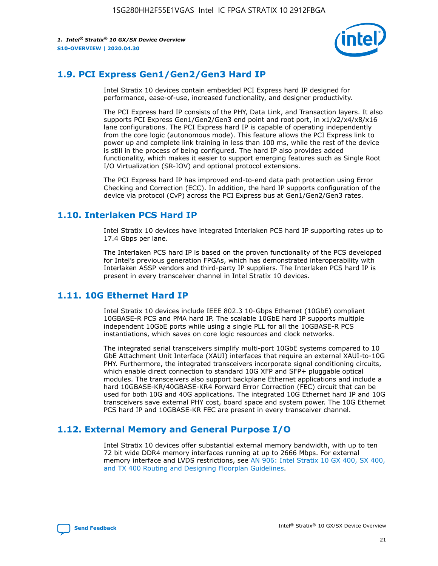

## **1.9. PCI Express Gen1/Gen2/Gen3 Hard IP**

Intel Stratix 10 devices contain embedded PCI Express hard IP designed for performance, ease-of-use, increased functionality, and designer productivity.

The PCI Express hard IP consists of the PHY, Data Link, and Transaction layers. It also supports PCI Express Gen1/Gen2/Gen3 end point and root port, in x1/x2/x4/x8/x16 lane configurations. The PCI Express hard IP is capable of operating independently from the core logic (autonomous mode). This feature allows the PCI Express link to power up and complete link training in less than 100 ms, while the rest of the device is still in the process of being configured. The hard IP also provides added functionality, which makes it easier to support emerging features such as Single Root I/O Virtualization (SR-IOV) and optional protocol extensions.

The PCI Express hard IP has improved end-to-end data path protection using Error Checking and Correction (ECC). In addition, the hard IP supports configuration of the device via protocol (CvP) across the PCI Express bus at Gen1/Gen2/Gen3 rates.

## **1.10. Interlaken PCS Hard IP**

Intel Stratix 10 devices have integrated Interlaken PCS hard IP supporting rates up to 17.4 Gbps per lane.

The Interlaken PCS hard IP is based on the proven functionality of the PCS developed for Intel's previous generation FPGAs, which has demonstrated interoperability with Interlaken ASSP vendors and third-party IP suppliers. The Interlaken PCS hard IP is present in every transceiver channel in Intel Stratix 10 devices.

## **1.11. 10G Ethernet Hard IP**

Intel Stratix 10 devices include IEEE 802.3 10-Gbps Ethernet (10GbE) compliant 10GBASE-R PCS and PMA hard IP. The scalable 10GbE hard IP supports multiple independent 10GbE ports while using a single PLL for all the 10GBASE-R PCS instantiations, which saves on core logic resources and clock networks.

The integrated serial transceivers simplify multi-port 10GbE systems compared to 10 GbE Attachment Unit Interface (XAUI) interfaces that require an external XAUI-to-10G PHY. Furthermore, the integrated transceivers incorporate signal conditioning circuits, which enable direct connection to standard 10G XFP and SFP+ pluggable optical modules. The transceivers also support backplane Ethernet applications and include a hard 10GBASE-KR/40GBASE-KR4 Forward Error Correction (FEC) circuit that can be used for both 10G and 40G applications. The integrated 10G Ethernet hard IP and 10G transceivers save external PHY cost, board space and system power. The 10G Ethernet PCS hard IP and 10GBASE-KR FEC are present in every transceiver channel.

## **1.12. External Memory and General Purpose I/O**

Intel Stratix 10 devices offer substantial external memory bandwidth, with up to ten 72 bit wide DDR4 memory interfaces running at up to 2666 Mbps. For external memory interface and LVDS restrictions, see [AN 906: Intel Stratix 10 GX 400, SX 400,](https://www.intel.com/content/www/us/en/programmable/documentation/sjf1574667190623.html#bft1574667627484) [and TX 400 Routing and Designing Floorplan Guidelines.](https://www.intel.com/content/www/us/en/programmable/documentation/sjf1574667190623.html#bft1574667627484)

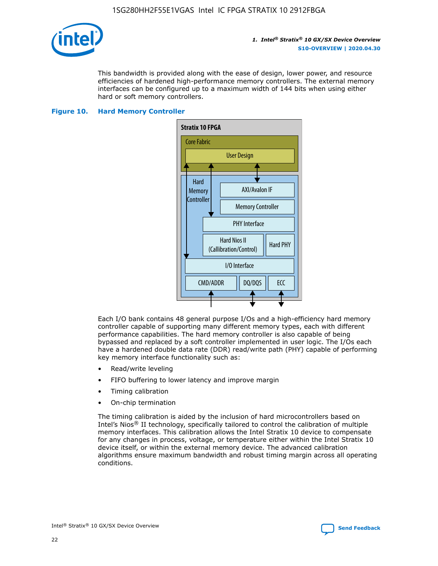

This bandwidth is provided along with the ease of design, lower power, and resource efficiencies of hardened high-performance memory controllers. The external memory interfaces can be configured up to a maximum width of 144 bits when using either hard or soft memory controllers.

#### **Figure 10. Hard Memory Controller**



Each I/O bank contains 48 general purpose I/Os and a high-efficiency hard memory controller capable of supporting many different memory types, each with different performance capabilities. The hard memory controller is also capable of being bypassed and replaced by a soft controller implemented in user logic. The I/Os each have a hardened double data rate (DDR) read/write path (PHY) capable of performing key memory interface functionality such as:

- Read/write leveling
- FIFO buffering to lower latency and improve margin
- Timing calibration
- On-chip termination

The timing calibration is aided by the inclusion of hard microcontrollers based on Intel's Nios® II technology, specifically tailored to control the calibration of multiple memory interfaces. This calibration allows the Intel Stratix 10 device to compensate for any changes in process, voltage, or temperature either within the Intel Stratix 10 device itself, or within the external memory device. The advanced calibration algorithms ensure maximum bandwidth and robust timing margin across all operating conditions.

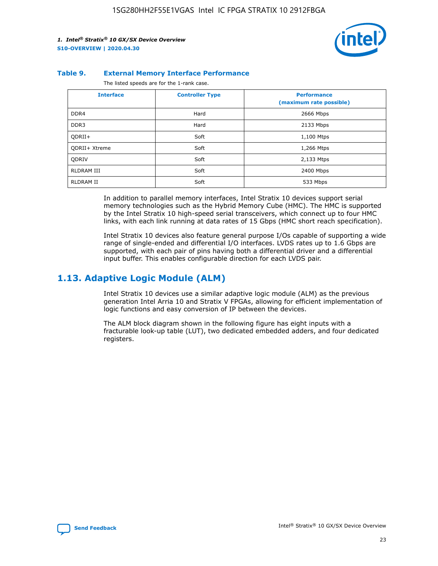

#### **Table 9. External Memory Interface Performance**

The listed speeds are for the 1-rank case.

| <b>Interface</b> | <b>Controller Type</b> | <b>Performance</b><br>(maximum rate possible) |
|------------------|------------------------|-----------------------------------------------|
| DDR4             | Hard                   | 2666 Mbps                                     |
| DDR <sub>3</sub> | Hard                   | 2133 Mbps                                     |
| QDRII+           | Soft                   | 1,100 Mtps                                    |
| QDRII+ Xtreme    | Soft                   | 1,266 Mtps                                    |
| <b>ODRIV</b>     | Soft                   | 2,133 Mtps                                    |
| RLDRAM III       | Soft                   | 2400 Mbps                                     |
| <b>RLDRAM II</b> | Soft                   | 533 Mbps                                      |

In addition to parallel memory interfaces, Intel Stratix 10 devices support serial memory technologies such as the Hybrid Memory Cube (HMC). The HMC is supported by the Intel Stratix 10 high-speed serial transceivers, which connect up to four HMC links, with each link running at data rates of 15 Gbps (HMC short reach specification).

Intel Stratix 10 devices also feature general purpose I/Os capable of supporting a wide range of single-ended and differential I/O interfaces. LVDS rates up to 1.6 Gbps are supported, with each pair of pins having both a differential driver and a differential input buffer. This enables configurable direction for each LVDS pair.

## **1.13. Adaptive Logic Module (ALM)**

Intel Stratix 10 devices use a similar adaptive logic module (ALM) as the previous generation Intel Arria 10 and Stratix V FPGAs, allowing for efficient implementation of logic functions and easy conversion of IP between the devices.

The ALM block diagram shown in the following figure has eight inputs with a fracturable look-up table (LUT), two dedicated embedded adders, and four dedicated registers.

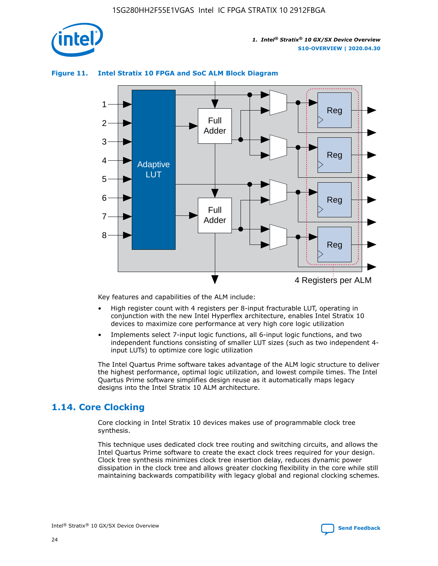

## **Figure 11. Intel Stratix 10 FPGA and SoC ALM Block Diagram**



Key features and capabilities of the ALM include:

- High register count with 4 registers per 8-input fracturable LUT, operating in conjunction with the new Intel Hyperflex architecture, enables Intel Stratix 10 devices to maximize core performance at very high core logic utilization
- Implements select 7-input logic functions, all 6-input logic functions, and two independent functions consisting of smaller LUT sizes (such as two independent 4 input LUTs) to optimize core logic utilization

The Intel Quartus Prime software takes advantage of the ALM logic structure to deliver the highest performance, optimal logic utilization, and lowest compile times. The Intel Quartus Prime software simplifies design reuse as it automatically maps legacy designs into the Intel Stratix 10 ALM architecture.

## **1.14. Core Clocking**

Core clocking in Intel Stratix 10 devices makes use of programmable clock tree synthesis.

This technique uses dedicated clock tree routing and switching circuits, and allows the Intel Quartus Prime software to create the exact clock trees required for your design. Clock tree synthesis minimizes clock tree insertion delay, reduces dynamic power dissipation in the clock tree and allows greater clocking flexibility in the core while still maintaining backwards compatibility with legacy global and regional clocking schemes.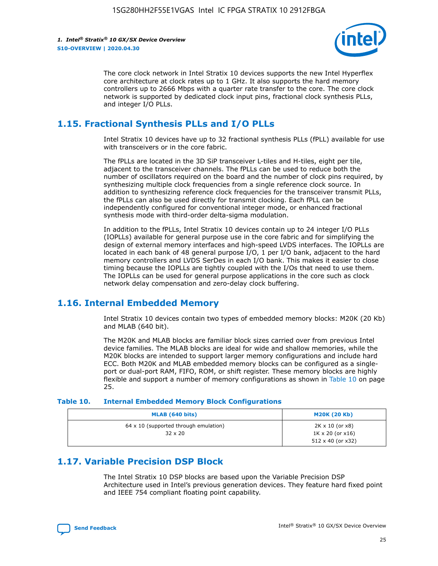

The core clock network in Intel Stratix 10 devices supports the new Intel Hyperflex core architecture at clock rates up to 1 GHz. It also supports the hard memory controllers up to 2666 Mbps with a quarter rate transfer to the core. The core clock network is supported by dedicated clock input pins, fractional clock synthesis PLLs, and integer I/O PLLs.

## **1.15. Fractional Synthesis PLLs and I/O PLLs**

Intel Stratix 10 devices have up to 32 fractional synthesis PLLs (fPLL) available for use with transceivers or in the core fabric.

The fPLLs are located in the 3D SiP transceiver L-tiles and H-tiles, eight per tile, adjacent to the transceiver channels. The fPLLs can be used to reduce both the number of oscillators required on the board and the number of clock pins required, by synthesizing multiple clock frequencies from a single reference clock source. In addition to synthesizing reference clock frequencies for the transceiver transmit PLLs, the fPLLs can also be used directly for transmit clocking. Each fPLL can be independently configured for conventional integer mode, or enhanced fractional synthesis mode with third-order delta-sigma modulation.

In addition to the fPLLs, Intel Stratix 10 devices contain up to 24 integer I/O PLLs (IOPLLs) available for general purpose use in the core fabric and for simplifying the design of external memory interfaces and high-speed LVDS interfaces. The IOPLLs are located in each bank of 48 general purpose I/O, 1 per I/O bank, adjacent to the hard memory controllers and LVDS SerDes in each I/O bank. This makes it easier to close timing because the IOPLLs are tightly coupled with the I/Os that need to use them. The IOPLLs can be used for general purpose applications in the core such as clock network delay compensation and zero-delay clock buffering.

## **1.16. Internal Embedded Memory**

Intel Stratix 10 devices contain two types of embedded memory blocks: M20K (20 Kb) and MLAB (640 bit).

The M20K and MLAB blocks are familiar block sizes carried over from previous Intel device families. The MLAB blocks are ideal for wide and shallow memories, while the M20K blocks are intended to support larger memory configurations and include hard ECC. Both M20K and MLAB embedded memory blocks can be configured as a singleport or dual-port RAM, FIFO, ROM, or shift register. These memory blocks are highly flexible and support a number of memory configurations as shown in Table 10 on page 25.

#### **Table 10. Internal Embedded Memory Block Configurations**

| MLAB (640 bits)                                                | <b>M20K (20 Kb)</b>                                                          |
|----------------------------------------------------------------|------------------------------------------------------------------------------|
| $64 \times 10$ (supported through emulation)<br>$32 \times 20$ | 2K x 10 (or x8)<br>$1K \times 20$ (or $x16$ )<br>$512 \times 40$ (or $x32$ ) |

## **1.17. Variable Precision DSP Block**

The Intel Stratix 10 DSP blocks are based upon the Variable Precision DSP Architecture used in Intel's previous generation devices. They feature hard fixed point and IEEE 754 compliant floating point capability.

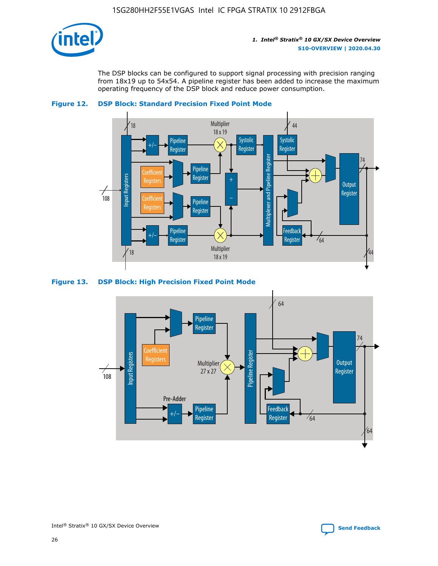

The DSP blocks can be configured to support signal processing with precision ranging from 18x19 up to 54x54. A pipeline register has been added to increase the maximum operating frequency of the DSP block and reduce power consumption.





#### **Figure 13. DSP Block: High Precision Fixed Point Mode**

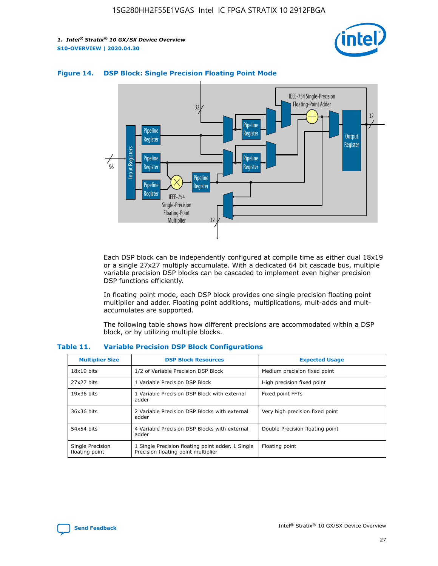



## **Figure 14. DSP Block: Single Precision Floating Point Mode**

Each DSP block can be independently configured at compile time as either dual 18x19 or a single 27x27 multiply accumulate. With a dedicated 64 bit cascade bus, multiple variable precision DSP blocks can be cascaded to implement even higher precision DSP functions efficiently.

In floating point mode, each DSP block provides one single precision floating point multiplier and adder. Floating point additions, multiplications, mult-adds and multaccumulates are supported.

The following table shows how different precisions are accommodated within a DSP block, or by utilizing multiple blocks.

| <b>Multiplier Size</b>             | <b>DSP Block Resources</b>                                                               | <b>Expected Usage</b>           |
|------------------------------------|------------------------------------------------------------------------------------------|---------------------------------|
| $18x19$ bits                       | 1/2 of Variable Precision DSP Block                                                      | Medium precision fixed point    |
| 27x27 bits                         | 1 Variable Precision DSP Block                                                           | High precision fixed point      |
| $19x36$ bits                       | 1 Variable Precision DSP Block with external<br>adder                                    | Fixed point FFTs                |
| 36x36 bits                         | 2 Variable Precision DSP Blocks with external<br>adder                                   | Very high precision fixed point |
| 54x54 bits                         | 4 Variable Precision DSP Blocks with external<br>adder                                   | Double Precision floating point |
| Single Precision<br>floating point | 1 Single Precision floating point adder, 1 Single<br>Precision floating point multiplier | Floating point                  |

#### **Table 11. Variable Precision DSP Block Configurations**

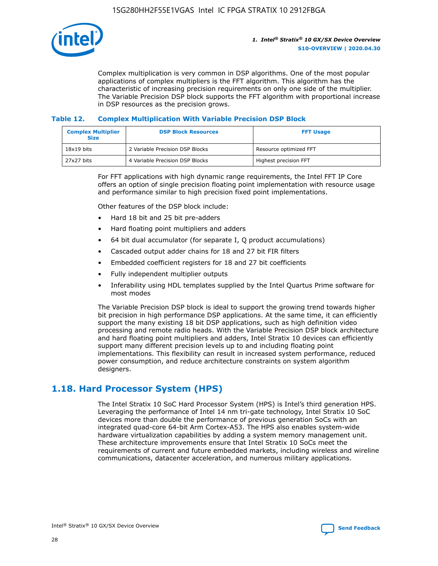

Complex multiplication is very common in DSP algorithms. One of the most popular applications of complex multipliers is the FFT algorithm. This algorithm has the characteristic of increasing precision requirements on only one side of the multiplier. The Variable Precision DSP block supports the FFT algorithm with proportional increase in DSP resources as the precision grows.

## **Table 12. Complex Multiplication With Variable Precision DSP Block**

| <b>Complex Multiplier</b><br><b>Size</b> | <b>DSP Block Resources</b>      | <b>FFT Usage</b>       |
|------------------------------------------|---------------------------------|------------------------|
| $18x19$ bits                             | 2 Variable Precision DSP Blocks | Resource optimized FFT |
| 27x27 bits                               | 4 Variable Precision DSP Blocks | Highest precision FFT  |

For FFT applications with high dynamic range requirements, the Intel FFT IP Core offers an option of single precision floating point implementation with resource usage and performance similar to high precision fixed point implementations.

Other features of the DSP block include:

- Hard 18 bit and 25 bit pre-adders
- Hard floating point multipliers and adders
- 64 bit dual accumulator (for separate I, Q product accumulations)
- Cascaded output adder chains for 18 and 27 bit FIR filters
- Embedded coefficient registers for 18 and 27 bit coefficients
- Fully independent multiplier outputs
- Inferability using HDL templates supplied by the Intel Quartus Prime software for most modes

The Variable Precision DSP block is ideal to support the growing trend towards higher bit precision in high performance DSP applications. At the same time, it can efficiently support the many existing 18 bit DSP applications, such as high definition video processing and remote radio heads. With the Variable Precision DSP block architecture and hard floating point multipliers and adders, Intel Stratix 10 devices can efficiently support many different precision levels up to and including floating point implementations. This flexibility can result in increased system performance, reduced power consumption, and reduce architecture constraints on system algorithm designers.

## **1.18. Hard Processor System (HPS)**

The Intel Stratix 10 SoC Hard Processor System (HPS) is Intel's third generation HPS. Leveraging the performance of Intel 14 nm tri-gate technology, Intel Stratix 10 SoC devices more than double the performance of previous generation SoCs with an integrated quad-core 64-bit Arm Cortex-A53. The HPS also enables system-wide hardware virtualization capabilities by adding a system memory management unit. These architecture improvements ensure that Intel Stratix 10 SoCs meet the requirements of current and future embedded markets, including wireless and wireline communications, datacenter acceleration, and numerous military applications.

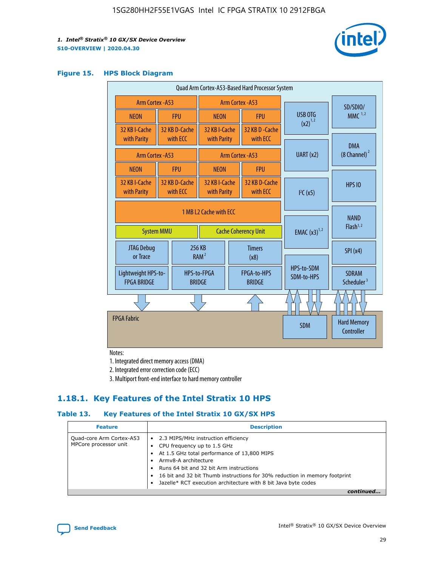

#### **Figure 15. HPS Block Diagram**

| Quad Arm Cortex-A53-Based Hard Processor System |                                             |                                                       |                                           |                          |                                     |                          |                                        |
|-------------------------------------------------|---------------------------------------------|-------------------------------------------------------|-------------------------------------------|--------------------------|-------------------------------------|--------------------------|----------------------------------------|
|                                                 | <b>Arm Cortex - A53</b><br>Arm Cortex - A53 |                                                       |                                           |                          |                                     | SD/SDIO/                 |                                        |
| <b>NEON</b>                                     |                                             | <b>FPU</b>                                            | <b>NEON</b>                               |                          | <b>FPU</b>                          | USB OTG<br>$(x2)^{1,2}$  | $MMC$ <sup>1,2</sup>                   |
| 32 KB I-Cache<br>with Parity                    |                                             | 32 KB D-Cache<br>with ECC                             | 32 KB I-Cache<br>with Parity              |                          | 32 KB D - Cache<br>with ECC         |                          |                                        |
|                                                 |                                             |                                                       |                                           |                          |                                     |                          | <b>DMA</b>                             |
| <b>Arm Cortex - A53</b>                         |                                             |                                                       |                                           |                          | <b>Arm Cortex - A53</b>             | UART (x2)                | $(8$ Channel) $^2$                     |
| <b>NEON</b>                                     |                                             | <b>FPU</b>                                            | <b>NEON</b>                               |                          | <b>FPU</b>                          |                          |                                        |
| 32 KB I-Cache<br>with Parity                    |                                             | 32 KB D-Cache<br>with ECC                             | 32 KB I-Cache<br>with Parity              |                          | 32 KB D-Cache<br>with ECC           | I <sup>2</sup> C(x5)     | <b>HPS 10</b>                          |
| <b>System MMU</b>                               |                                             | 1 MB L2 Cache with ECC<br><b>Cache Coherency Unit</b> |                                           | <b>EMAC</b> $(x3)^{1,2}$ | <b>NAND</b><br>Flash <sup>1,2</sup> |                          |                                        |
| JTAG Debug<br>or Trace                          |                                             | 256 KB                                                | <b>Timers</b><br>RAM <sup>2</sup><br>(x8) |                          |                                     | SPI(x4)                  |                                        |
| Lightweight HPS-to-<br><b>FPGA BRIDGE</b>       |                                             |                                                       | HPS-to-FPGA<br><b>BRIDGE</b>              |                          | FPGA-to-HPS<br><b>BRIDGE</b>        | HPS-to-SDM<br>SDM-to-HPS | <b>SDRAM</b><br>Scheduler <sup>3</sup> |
|                                                 |                                             |                                                       |                                           |                          |                                     |                          |                                        |
| <b>FPGA Fabric</b>                              |                                             |                                                       |                                           |                          |                                     | <b>SDM</b>               | <b>Hard Memory</b><br>Controller       |

Notes:

1. Integrated direct memory access (DMA)

2. Integrated error correction code (ECC)

3. Multiport front-end interface to hard memory controller

## **1.18.1. Key Features of the Intel Stratix 10 HPS**

## **Table 13. Key Features of the Intel Stratix 10 GX/SX HPS**

| <b>Feature</b>                                    | <b>Description</b>                                                                                                                                                                                                                                                                                                                     |
|---------------------------------------------------|----------------------------------------------------------------------------------------------------------------------------------------------------------------------------------------------------------------------------------------------------------------------------------------------------------------------------------------|
| Quad-core Arm Cortex-A53<br>MPCore processor unit | • 2.3 MIPS/MHz instruction efficiency<br>CPU frequency up to 1.5 GHz<br>At 1.5 GHz total performance of 13,800 MIPS<br>Army8-A architecture<br>Runs 64 bit and 32 bit Arm instructions<br>16 bit and 32 bit Thumb instructions for 30% reduction in memory footprint<br>Jazelle* RCT execution architecture with 8 bit Java byte codes |
|                                                   |                                                                                                                                                                                                                                                                                                                                        |

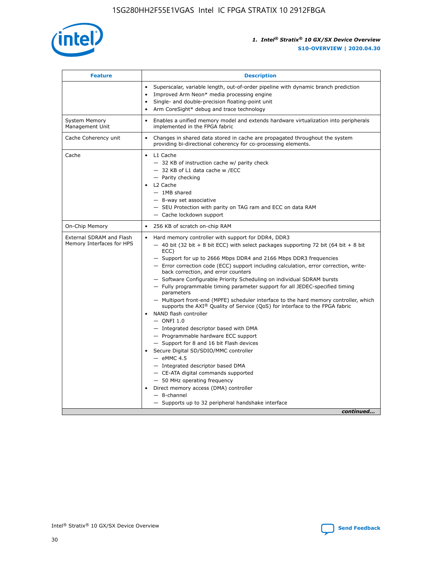

| <b>Feature</b>                                        | <b>Description</b>                                                                                                                                                                                                                                                                                                                                                                                                                                                                                                                                                                                                                                                                                                                                                                                                                                                                                                                                                                                                                                                                                                                                                                                               |  |
|-------------------------------------------------------|------------------------------------------------------------------------------------------------------------------------------------------------------------------------------------------------------------------------------------------------------------------------------------------------------------------------------------------------------------------------------------------------------------------------------------------------------------------------------------------------------------------------------------------------------------------------------------------------------------------------------------------------------------------------------------------------------------------------------------------------------------------------------------------------------------------------------------------------------------------------------------------------------------------------------------------------------------------------------------------------------------------------------------------------------------------------------------------------------------------------------------------------------------------------------------------------------------------|--|
|                                                       | Superscalar, variable length, out-of-order pipeline with dynamic branch prediction<br>Improved Arm Neon* media processing engine<br>Single- and double-precision floating-point unit<br>Arm CoreSight* debug and trace technology<br>$\bullet$                                                                                                                                                                                                                                                                                                                                                                                                                                                                                                                                                                                                                                                                                                                                                                                                                                                                                                                                                                   |  |
| <b>System Memory</b><br>Management Unit               | Enables a unified memory model and extends hardware virtualization into peripherals<br>implemented in the FPGA fabric                                                                                                                                                                                                                                                                                                                                                                                                                                                                                                                                                                                                                                                                                                                                                                                                                                                                                                                                                                                                                                                                                            |  |
| Cache Coherency unit                                  | Changes in shared data stored in cache are propagated throughout the system<br>$\bullet$<br>providing bi-directional coherency for co-processing elements.                                                                                                                                                                                                                                                                                                                                                                                                                                                                                                                                                                                                                                                                                                                                                                                                                                                                                                                                                                                                                                                       |  |
| Cache                                                 | L1 Cache<br>$\bullet$<br>- 32 KB of instruction cache w/ parity check<br>- 32 KB of L1 data cache w /ECC<br>- Parity checking<br>L <sub>2</sub> Cache<br>$-$ 1MB shared<br>$-$ 8-way set associative<br>- SEU Protection with parity on TAG ram and ECC on data RAM<br>- Cache lockdown support                                                                                                                                                                                                                                                                                                                                                                                                                                                                                                                                                                                                                                                                                                                                                                                                                                                                                                                  |  |
| On-Chip Memory                                        | 256 KB of scratch on-chip RAM                                                                                                                                                                                                                                                                                                                                                                                                                                                                                                                                                                                                                                                                                                                                                                                                                                                                                                                                                                                                                                                                                                                                                                                    |  |
| External SDRAM and Flash<br>Memory Interfaces for HPS | Hard memory controller with support for DDR4, DDR3<br>$\bullet$<br>$-$ 40 bit (32 bit + 8 bit ECC) with select packages supporting 72 bit (64 bit + 8 bit<br>ECC)<br>- Support for up to 2666 Mbps DDR4 and 2166 Mbps DDR3 frequencies<br>- Error correction code (ECC) support including calculation, error correction, write-<br>back correction, and error counters<br>- Software Configurable Priority Scheduling on individual SDRAM bursts<br>- Fully programmable timing parameter support for all JEDEC-specified timing<br>parameters<br>- Multiport front-end (MPFE) scheduler interface to the hard memory controller, which<br>supports the $AXI^{\circledR}$ Quality of Service (QoS) for interface to the FPGA fabric<br>NAND flash controller<br>$-$ ONFI 1.0<br>- Integrated descriptor based with DMA<br>- Programmable hardware ECC support<br>- Support for 8 and 16 bit Flash devices<br>Secure Digital SD/SDIO/MMC controller<br>$-$ eMMC 4.5<br>- Integrated descriptor based DMA<br>- CE-ATA digital commands supported<br>- 50 MHz operating frequency<br>Direct memory access (DMA) controller<br>٠<br>$-$ 8-channel<br>- Supports up to 32 peripheral handshake interface<br>continued |  |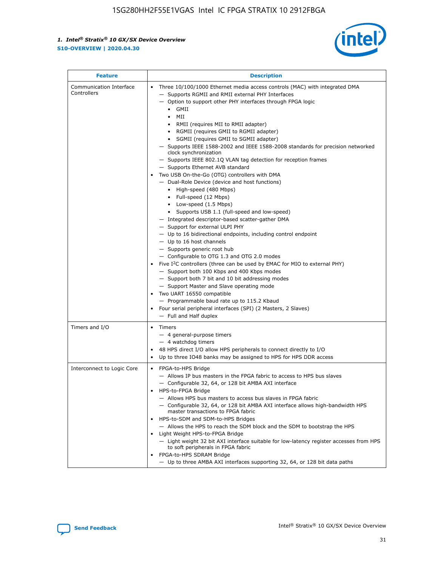

| <b>Feature</b>                         | <b>Description</b>                                                                                                                                                                                                                                                                                                                                                                                                                                                                                                                                                                                                                                                                                                                                                                                                                                                                                                                                                                                                                                                                                                                                                                                                                                                                                                                                                                                                                                                                           |
|----------------------------------------|----------------------------------------------------------------------------------------------------------------------------------------------------------------------------------------------------------------------------------------------------------------------------------------------------------------------------------------------------------------------------------------------------------------------------------------------------------------------------------------------------------------------------------------------------------------------------------------------------------------------------------------------------------------------------------------------------------------------------------------------------------------------------------------------------------------------------------------------------------------------------------------------------------------------------------------------------------------------------------------------------------------------------------------------------------------------------------------------------------------------------------------------------------------------------------------------------------------------------------------------------------------------------------------------------------------------------------------------------------------------------------------------------------------------------------------------------------------------------------------------|
| Communication Interface<br>Controllers | Three 10/100/1000 Ethernet media access controls (MAC) with integrated DMA<br>- Supports RGMII and RMII external PHY Interfaces<br>- Option to support other PHY interfaces through FPGA logic<br>$\bullet$ GMII<br>MII<br>$\bullet$<br>RMII (requires MII to RMII adapter)<br>• RGMII (requires GMII to RGMII adapter)<br>SGMII (requires GMII to SGMII adapter)<br>- Supports IEEE 1588-2002 and IEEE 1588-2008 standards for precision networked<br>clock synchronization<br>- Supports IEEE 802.1Q VLAN tag detection for reception frames<br>- Supports Ethernet AVB standard<br>Two USB On-the-Go (OTG) controllers with DMA<br>- Dual-Role Device (device and host functions)<br>• High-speed (480 Mbps)<br>• Full-speed (12 Mbps)<br>• Low-speed (1.5 Mbps)<br>• Supports USB 1.1 (full-speed and low-speed)<br>- Integrated descriptor-based scatter-gather DMA<br>- Support for external ULPI PHY<br>- Up to 16 bidirectional endpoints, including control endpoint<br>$-$ Up to 16 host channels<br>- Supports generic root hub<br>- Configurable to OTG 1.3 and OTG 2.0 modes<br>Five $I2C$ controllers (three can be used by EMAC for MIO to external PHY)<br>- Support both 100 Kbps and 400 Kbps modes<br>- Support both 7 bit and 10 bit addressing modes<br>- Support Master and Slave operating mode<br>Two UART 16550 compatible<br>- Programmable baud rate up to 115.2 Kbaud<br>Four serial peripheral interfaces (SPI) (2 Masters, 2 Slaves)<br>- Full and Half duplex |
| Timers and I/O                         | Timers<br>- 4 general-purpose timers<br>$-4$ watchdog timers<br>48 HPS direct I/O allow HPS peripherals to connect directly to I/O<br>Up to three IO48 banks may be assigned to HPS for HPS DDR access                                                                                                                                                                                                                                                                                                                                                                                                                                                                                                                                                                                                                                                                                                                                                                                                                                                                                                                                                                                                                                                                                                                                                                                                                                                                                       |
| Interconnect to Logic Core             | • FPGA-to-HPS Bridge<br>- Allows IP bus masters in the FPGA fabric to access to HPS bus slaves<br>- Configurable 32, 64, or 128 bit AMBA AXI interface<br>HPS-to-FPGA Bridge<br>- Allows HPS bus masters to access bus slaves in FPGA fabric<br>- Configurable 32, 64, or 128 bit AMBA AXI interface allows high-bandwidth HPS<br>master transactions to FPGA fabric<br>HPS-to-SDM and SDM-to-HPS Bridges<br>- Allows the HPS to reach the SDM block and the SDM to bootstrap the HPS<br>Light Weight HPS-to-FPGA Bridge<br>- Light weight 32 bit AXI interface suitable for low-latency register accesses from HPS<br>to soft peripherals in FPGA fabric<br>FPGA-to-HPS SDRAM Bridge<br>- Up to three AMBA AXI interfaces supporting 32, 64, or 128 bit data paths                                                                                                                                                                                                                                                                                                                                                                                                                                                                                                                                                                                                                                                                                                                          |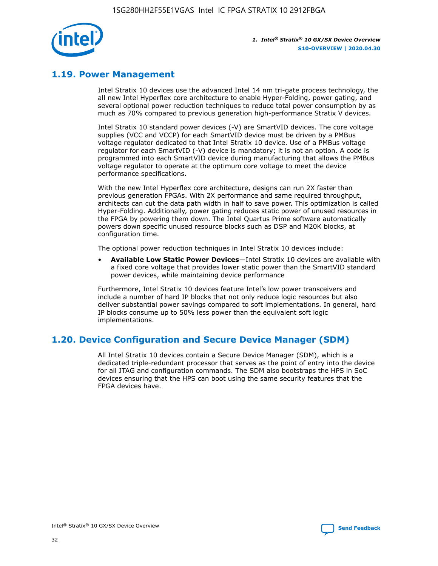

## **1.19. Power Management**

Intel Stratix 10 devices use the advanced Intel 14 nm tri-gate process technology, the all new Intel Hyperflex core architecture to enable Hyper-Folding, power gating, and several optional power reduction techniques to reduce total power consumption by as much as 70% compared to previous generation high-performance Stratix V devices.

Intel Stratix 10 standard power devices (-V) are SmartVID devices. The core voltage supplies (VCC and VCCP) for each SmartVID device must be driven by a PMBus voltage regulator dedicated to that Intel Stratix 10 device. Use of a PMBus voltage regulator for each SmartVID (-V) device is mandatory; it is not an option. A code is programmed into each SmartVID device during manufacturing that allows the PMBus voltage regulator to operate at the optimum core voltage to meet the device performance specifications.

With the new Intel Hyperflex core architecture, designs can run 2X faster than previous generation FPGAs. With 2X performance and same required throughput, architects can cut the data path width in half to save power. This optimization is called Hyper-Folding. Additionally, power gating reduces static power of unused resources in the FPGA by powering them down. The Intel Quartus Prime software automatically powers down specific unused resource blocks such as DSP and M20K blocks, at configuration time.

The optional power reduction techniques in Intel Stratix 10 devices include:

• **Available Low Static Power Devices**—Intel Stratix 10 devices are available with a fixed core voltage that provides lower static power than the SmartVID standard power devices, while maintaining device performance

Furthermore, Intel Stratix 10 devices feature Intel's low power transceivers and include a number of hard IP blocks that not only reduce logic resources but also deliver substantial power savings compared to soft implementations. In general, hard IP blocks consume up to 50% less power than the equivalent soft logic implementations.

## **1.20. Device Configuration and Secure Device Manager (SDM)**

All Intel Stratix 10 devices contain a Secure Device Manager (SDM), which is a dedicated triple-redundant processor that serves as the point of entry into the device for all JTAG and configuration commands. The SDM also bootstraps the HPS in SoC devices ensuring that the HPS can boot using the same security features that the FPGA devices have.

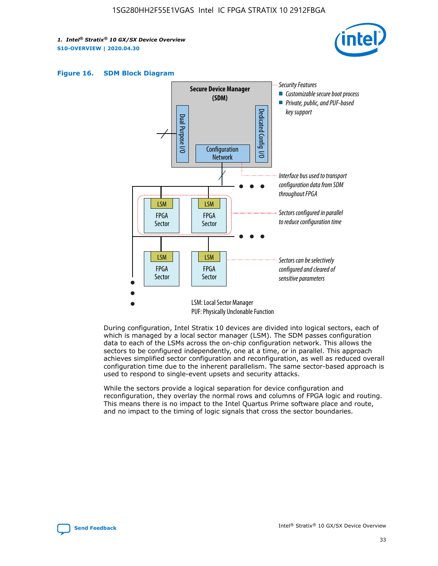





During configuration, Intel Stratix 10 devices are divided into logical sectors, each of which is managed by a local sector manager (LSM). The SDM passes configuration data to each of the LSMs across the on-chip configuration network. This allows the sectors to be configured independently, one at a time, or in parallel. This approach achieves simplified sector configuration and reconfiguration, as well as reduced overall configuration time due to the inherent parallelism. The same sector-based approach is used to respond to single-event upsets and security attacks.

While the sectors provide a logical separation for device configuration and reconfiguration, they overlay the normal rows and columns of FPGA logic and routing. This means there is no impact to the Intel Quartus Prime software place and route, and no impact to the timing of logic signals that cross the sector boundaries.

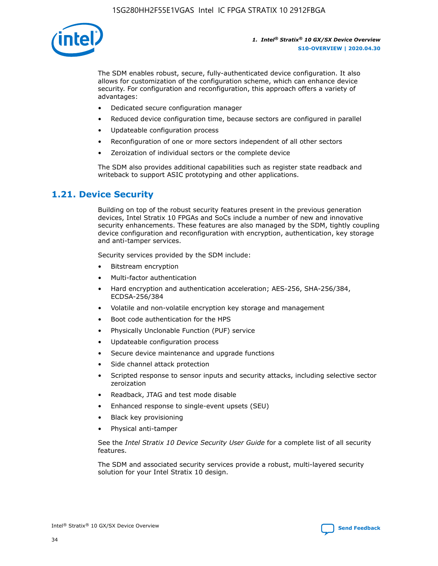

The SDM enables robust, secure, fully-authenticated device configuration. It also allows for customization of the configuration scheme, which can enhance device security. For configuration and reconfiguration, this approach offers a variety of advantages:

- Dedicated secure configuration manager
- Reduced device configuration time, because sectors are configured in parallel
- Updateable configuration process
- Reconfiguration of one or more sectors independent of all other sectors
- Zeroization of individual sectors or the complete device

The SDM also provides additional capabilities such as register state readback and writeback to support ASIC prototyping and other applications.

## **1.21. Device Security**

Building on top of the robust security features present in the previous generation devices, Intel Stratix 10 FPGAs and SoCs include a number of new and innovative security enhancements. These features are also managed by the SDM, tightly coupling device configuration and reconfiguration with encryption, authentication, key storage and anti-tamper services.

Security services provided by the SDM include:

- Bitstream encryption
- Multi-factor authentication
- Hard encryption and authentication acceleration; AES-256, SHA-256/384, ECDSA-256/384
- Volatile and non-volatile encryption key storage and management
- Boot code authentication for the HPS
- Physically Unclonable Function (PUF) service
- Updateable configuration process
- Secure device maintenance and upgrade functions
- Side channel attack protection
- Scripted response to sensor inputs and security attacks, including selective sector zeroization
- Readback, JTAG and test mode disable
- Enhanced response to single-event upsets (SEU)
- Black key provisioning
- Physical anti-tamper

See the *Intel Stratix 10 Device Security User Guide* for a complete list of all security features.

The SDM and associated security services provide a robust, multi-layered security solution for your Intel Stratix 10 design.

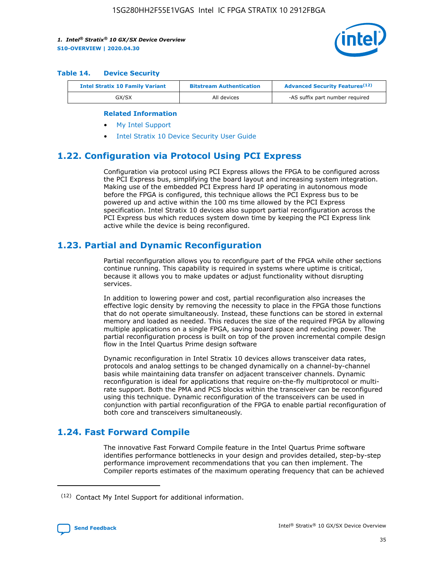

#### **Table 14. Device Security**

| <b>Intel Stratix 10 Family Variant</b> | <b>Bitstream Authentication</b> | <b>Advanced Security Features</b> <sup>(12)</sup> |
|----------------------------------------|---------------------------------|---------------------------------------------------|
| GX/SX                                  | All devices                     | -AS suffix part number required                   |

#### **Related Information**

- [My Intel Support](https://www.intel.com/content/www/us/en/programmable/my-intel/mal-home.html)
- [Intel Stratix 10 Device Security User Guide](https://www.intel.com/content/www/us/en/programmable/documentation/ndq1483601370898.html#wcd1483611014402)

## **1.22. Configuration via Protocol Using PCI Express**

Configuration via protocol using PCI Express allows the FPGA to be configured across the PCI Express bus, simplifying the board layout and increasing system integration. Making use of the embedded PCI Express hard IP operating in autonomous mode before the FPGA is configured, this technique allows the PCI Express bus to be powered up and active within the 100 ms time allowed by the PCI Express specification. Intel Stratix 10 devices also support partial reconfiguration across the PCI Express bus which reduces system down time by keeping the PCI Express link active while the device is being reconfigured.

## **1.23. Partial and Dynamic Reconfiguration**

Partial reconfiguration allows you to reconfigure part of the FPGA while other sections continue running. This capability is required in systems where uptime is critical, because it allows you to make updates or adjust functionality without disrupting services.

In addition to lowering power and cost, partial reconfiguration also increases the effective logic density by removing the necessity to place in the FPGA those functions that do not operate simultaneously. Instead, these functions can be stored in external memory and loaded as needed. This reduces the size of the required FPGA by allowing multiple applications on a single FPGA, saving board space and reducing power. The partial reconfiguration process is built on top of the proven incremental compile design flow in the Intel Quartus Prime design software

Dynamic reconfiguration in Intel Stratix 10 devices allows transceiver data rates, protocols and analog settings to be changed dynamically on a channel-by-channel basis while maintaining data transfer on adjacent transceiver channels. Dynamic reconfiguration is ideal for applications that require on-the-fly multiprotocol or multirate support. Both the PMA and PCS blocks within the transceiver can be reconfigured using this technique. Dynamic reconfiguration of the transceivers can be used in conjunction with partial reconfiguration of the FPGA to enable partial reconfiguration of both core and transceivers simultaneously.

## **1.24. Fast Forward Compile**

The innovative Fast Forward Compile feature in the Intel Quartus Prime software identifies performance bottlenecks in your design and provides detailed, step-by-step performance improvement recommendations that you can then implement. The Compiler reports estimates of the maximum operating frequency that can be achieved

<sup>(12)</sup> Contact My Intel Support for additional information.

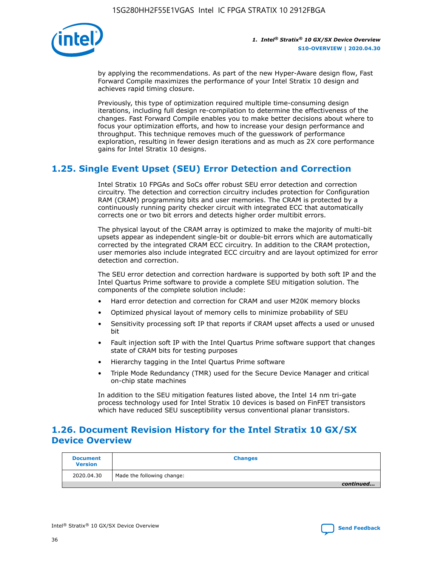

by applying the recommendations. As part of the new Hyper-Aware design flow, Fast Forward Compile maximizes the performance of your Intel Stratix 10 design and achieves rapid timing closure.

Previously, this type of optimization required multiple time-consuming design iterations, including full design re-compilation to determine the effectiveness of the changes. Fast Forward Compile enables you to make better decisions about where to focus your optimization efforts, and how to increase your design performance and throughput. This technique removes much of the guesswork of performance exploration, resulting in fewer design iterations and as much as 2X core performance gains for Intel Stratix 10 designs.

## **1.25. Single Event Upset (SEU) Error Detection and Correction**

Intel Stratix 10 FPGAs and SoCs offer robust SEU error detection and correction circuitry. The detection and correction circuitry includes protection for Configuration RAM (CRAM) programming bits and user memories. The CRAM is protected by a continuously running parity checker circuit with integrated ECC that automatically corrects one or two bit errors and detects higher order multibit errors.

The physical layout of the CRAM array is optimized to make the majority of multi-bit upsets appear as independent single-bit or double-bit errors which are automatically corrected by the integrated CRAM ECC circuitry. In addition to the CRAM protection, user memories also include integrated ECC circuitry and are layout optimized for error detection and correction.

The SEU error detection and correction hardware is supported by both soft IP and the Intel Quartus Prime software to provide a complete SEU mitigation solution. The components of the complete solution include:

- Hard error detection and correction for CRAM and user M20K memory blocks
- Optimized physical layout of memory cells to minimize probability of SEU
- Sensitivity processing soft IP that reports if CRAM upset affects a used or unused bit
- Fault injection soft IP with the Intel Quartus Prime software support that changes state of CRAM bits for testing purposes
- Hierarchy tagging in the Intel Quartus Prime software
- Triple Mode Redundancy (TMR) used for the Secure Device Manager and critical on-chip state machines

In addition to the SEU mitigation features listed above, the Intel 14 nm tri-gate process technology used for Intel Stratix 10 devices is based on FinFET transistors which have reduced SEU susceptibility versus conventional planar transistors.

## **1.26. Document Revision History for the Intel Stratix 10 GX/SX Device Overview**

| <b>Document</b><br><b>Version</b> | <b>Changes</b>             |
|-----------------------------------|----------------------------|
| 2020.04.30                        | Made the following change: |
|                                   | continued                  |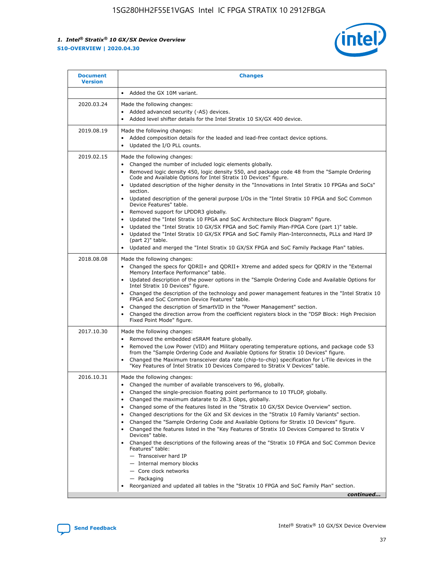

| <b>Document</b><br><b>Version</b> | <b>Changes</b>                                                                                                                                                                                                                                                                                                                                                                                                                                                                                                                                                                                                                                                                                                                                                                                                                                                                                                                                                            |
|-----------------------------------|---------------------------------------------------------------------------------------------------------------------------------------------------------------------------------------------------------------------------------------------------------------------------------------------------------------------------------------------------------------------------------------------------------------------------------------------------------------------------------------------------------------------------------------------------------------------------------------------------------------------------------------------------------------------------------------------------------------------------------------------------------------------------------------------------------------------------------------------------------------------------------------------------------------------------------------------------------------------------|
|                                   | Added the GX 10M variant.<br>$\bullet$                                                                                                                                                                                                                                                                                                                                                                                                                                                                                                                                                                                                                                                                                                                                                                                                                                                                                                                                    |
| 2020.03.24                        | Made the following changes:<br>Added advanced security (-AS) devices.<br>$\bullet$<br>Added level shifter details for the Intel Stratix 10 SX/GX 400 device.                                                                                                                                                                                                                                                                                                                                                                                                                                                                                                                                                                                                                                                                                                                                                                                                              |
| 2019.08.19                        | Made the following changes:<br>Added composition details for the leaded and lead-free contact device options.<br>Updated the I/O PLL counts.                                                                                                                                                                                                                                                                                                                                                                                                                                                                                                                                                                                                                                                                                                                                                                                                                              |
| 2019.02.15                        | Made the following changes:<br>Changed the number of included logic elements globally.<br>٠<br>Removed logic density 450, logic density 550, and package code 48 from the "Sample Ordering<br>$\bullet$<br>Code and Available Options for Intel Stratix 10 Devices" figure.<br>Updated description of the higher density in the "Innovations in Intel Stratix 10 FPGAs and SoCs"<br>section.<br>Updated description of the general purpose I/Os in the "Intel Stratix 10 FPGA and SoC Common<br>$\bullet$<br>Device Features" table.<br>Removed support for LPDDR3 globally.<br>Updated the "Intel Stratix 10 FPGA and SoC Architecture Block Diagram" figure.<br>Updated the "Intel Stratix 10 GX/SX FPGA and SoC Family Plan-FPGA Core (part 1)" table.<br>Updated the "Intel Stratix 10 GX/SX FPGA and SoC Family Plan-Interconnects, PLLs and Hard IP<br>(part 2)" table.<br>Updated and merged the "Intel Stratix 10 GX/SX FPGA and SoC Family Package Plan" tables. |
| 2018.08.08                        | Made the following changes:<br>Changed the specs for QDRII+ and QDRII+ Xtreme and added specs for QDRIV in the "External<br>$\bullet$<br>Memory Interface Performance" table.<br>Updated description of the power options in the "Sample Ordering Code and Available Options for<br>Intel Stratix 10 Devices" figure.<br>Changed the description of the technology and power management features in the "Intel Stratix 10<br>FPGA and SoC Common Device Features" table.<br>Changed the description of SmartVID in the "Power Management" section.<br>Changed the direction arrow from the coefficient registers block in the "DSP Block: High Precision<br>$\bullet$<br>Fixed Point Mode" figure.                                                                                                                                                                                                                                                                        |
| 2017.10.30                        | Made the following changes:<br>Removed the embedded eSRAM feature globally.<br>$\bullet$<br>Removed the Low Power (VID) and Military operating temperature options, and package code 53<br>٠<br>from the "Sample Ordering Code and Available Options for Stratix 10 Devices" figure.<br>Changed the Maximum transceiver data rate (chip-to-chip) specification for L-Tile devices in the<br>"Key Features of Intel Stratix 10 Devices Compared to Stratix V Devices" table.                                                                                                                                                                                                                                                                                                                                                                                                                                                                                               |
| 2016.10.31                        | Made the following changes:<br>Changed the number of available transceivers to 96, globally.<br>Changed the single-precision floating point performance to 10 TFLOP, globally.<br>Changed the maximum datarate to 28.3 Gbps, globally.<br>Changed some of the features listed in the "Stratix 10 GX/SX Device Overview" section.<br>٠<br>Changed descriptions for the GX and SX devices in the "Stratix 10 Family Variants" section.<br>Changed the "Sample Ordering Code and Available Options for Stratix 10 Devices" figure.<br>٠<br>Changed the features listed in the "Key Features of Stratix 10 Devices Compared to Stratix V<br>Devices" table.<br>Changed the descriptions of the following areas of the "Stratix 10 FPGA and SoC Common Device<br>Features" table:<br>- Transceiver hard IP<br>- Internal memory blocks<br>- Core clock networks<br>- Packaging<br>Reorganized and updated all tables in the "Stratix 10 FPGA and SoC Family Plan" section.     |
|                                   | continued                                                                                                                                                                                                                                                                                                                                                                                                                                                                                                                                                                                                                                                                                                                                                                                                                                                                                                                                                                 |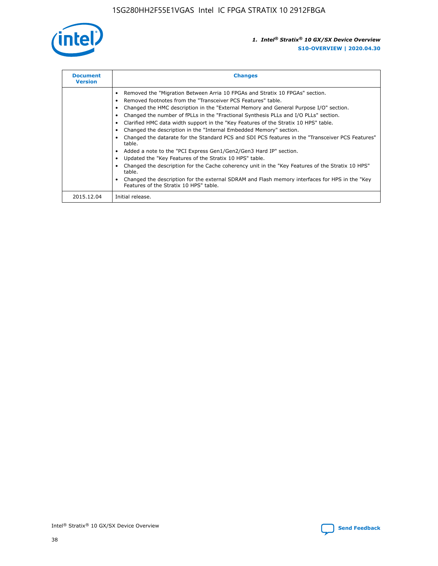

| <b>Document</b><br><b>Version</b> | <b>Changes</b>                                                                                                                                                                                                                                                                                                                                                                                                                                                                                                                                                                                                                                                                                                                                                                                                                                                                                                                                                                                     |  |
|-----------------------------------|----------------------------------------------------------------------------------------------------------------------------------------------------------------------------------------------------------------------------------------------------------------------------------------------------------------------------------------------------------------------------------------------------------------------------------------------------------------------------------------------------------------------------------------------------------------------------------------------------------------------------------------------------------------------------------------------------------------------------------------------------------------------------------------------------------------------------------------------------------------------------------------------------------------------------------------------------------------------------------------------------|--|
|                                   | Removed the "Migration Between Arria 10 FPGAs and Stratix 10 FPGAs" section.<br>Removed footnotes from the "Transceiver PCS Features" table.<br>Changed the HMC description in the "External Memory and General Purpose I/O" section.<br>Changed the number of fPLLs in the "Fractional Synthesis PLLs and I/O PLLs" section.<br>Clarified HMC data width support in the "Key Features of the Stratix 10 HPS" table.<br>Changed the description in the "Internal Embedded Memory" section.<br>Changed the datarate for the Standard PCS and SDI PCS features in the "Transceiver PCS Features"<br>table.<br>Added a note to the "PCI Express Gen1/Gen2/Gen3 Hard IP" section.<br>Updated the "Key Features of the Stratix 10 HPS" table.<br>Changed the description for the Cache coherency unit in the "Key Features of the Stratix 10 HPS"<br>table.<br>Changed the description for the external SDRAM and Flash memory interfaces for HPS in the "Key<br>Features of the Stratix 10 HPS" table. |  |
| 2015.12.04                        | Initial release.                                                                                                                                                                                                                                                                                                                                                                                                                                                                                                                                                                                                                                                                                                                                                                                                                                                                                                                                                                                   |  |